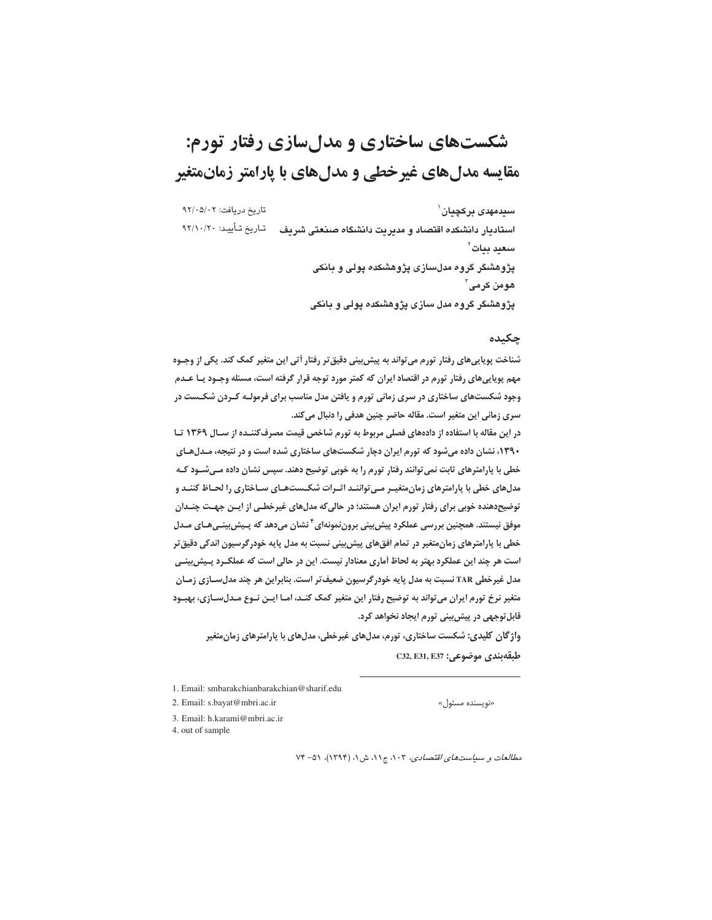# شکستهای ساختاری و مدل سازی رفتار تورم: مقایسه مدل های غیر خطی و مدل های با پارامتر زمانمتغیر

تاريخ دريافت: ٩٢/٠٥/٠٢ سىدمهدى بركچيان` استادیار دانشکده اقتصاد و مدیریت دانشگاه صنعتی شریف حساریخ تـأییـد: ۹۲/۱۰/۲۰ سعدد بنات` پژوهشگر گروه مدلسازی پژوهشکده پولی و بانکی هومن کرمے آ یژوهشگر گروه مدل سازی یژوهشکده یولی و بانکی

## چکیده

شناخت پویاییهای رفتار تورم می تواند به پیش بینی دقیق تر رفتار آتی این متغیر کمک کند. یکی از وجـوه مهم پویاییهای رفتار تورم در اقتصاد ایران که کمتر مورد توجه قرار گرفته است، مسئله وجـود یـا عـدم وجود شکستهای ساختاری در سری زمانی تورم و یافتن مدل مناسب برای فرمولـه کـردن شکـست در سری زمانی این متغیر است. مقاله حاضر چنین هدفی را دنبال میکند.

در این مقاله با استفاده از دادههای فصلی مربوط به تورم شاخص قیمت مصرف کننـده از سـال ۱۳۶۹ تـا ۱۳۹۰، نشان داده میشود که تورم ایران دچار شکستهای ساختاری شده است و در نتیجه، مـدلهـای خطی با پارامترهای ثابت نمی توانند رفتار تورم را به خوبی توضیح دهند. سپس نشان داده مـیشـود کـه مدلهای خطی با پارامترهای زمان متغیـر مـی تواننـد اثـرات شکـستهـای سـاختاری را لحـاظ کننـد و توضیح دهنده خوبی برای رفتار تورم ایران هستند؛ در حالی که مدلهای غیرخطـی از ایــن جهـت چنــدان موفق نیستند. همچنین بررسی عملکرد پیش بینی برونiمونهای<sup>۴</sup> نشان میدهد که پـیش بینــیهـای مــدل خطی با پارامترهای زمان متغیر در تمام افقهای پیش بینی نسبت به مدل پایه خودر گرسیون اندکی دقیق تر است هر چند این عملکرد بهتر به لحاظ آماری معنادار نیست. این در حالی است که عملکـرد پـیش2ینـی مدل غیرخطی TAR نسبت به مدل پایه خودرگرسیون ضعیف تر است. بنابراین هر چند مدل سـازی زمـان متغیر نرخ تورم ایران می تواند به توضیح رفتار این متغیر کمک کنـد، امـا ایــن نــوع مــدل،سـازی، بهبــود قابل توجهی در پیش بینی تورم ایجاد نخواهد کرد.

واژگان کلیدی: شکست ساختاری، تورم، مدلهای غیرخطی، مدلهای با پارامترهای زمان متغیر  $C$ 32, E31, E37 جلبقهبندي موضوعي:

1. Email: smbarakchianbarakchian@sharif.edu

«نویسنده مسئول»

2. Email: s.bayat@mbri.ac.ir 3. Email: h.karami@mbri.ac.ir

4. out of sample

مطالعات و سیاستهای اقتصادی، ۰۲، ج۱۱، ش ۱، (۱۳۹۴)، ۵۱- ۷۴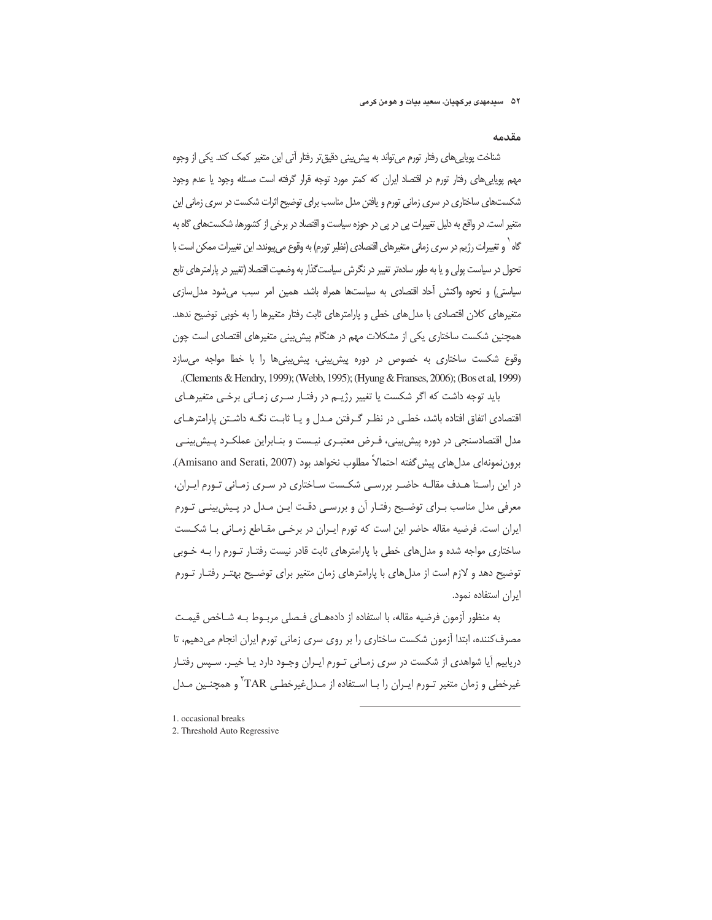مقدمه

شناخت پویایی،ای رفتار تورم می تواند به پیش پینی دقیق تر رفتار آتی این متغیر کمک کند. یکی از وجوه مهم یوپایی های رفتار تورم در اقتصاد ایران که کمتر مورد توجه قرار گرفته است مسئله وجود یا عدم وجود شکستهای ساختاری در سری زمانی تورم و یافتن مدل مناسب برای توضیح اثرات شکست در سری زمانی این متغیر است. در واقع به دلیل تغییرات پی در پی در حوزه سیاست و اقتصاد در برخی از کشورها، شکستهای گاه به گاه <sup>۱</sup> و تغییرات رژیم در سری زمانی متغیرهای اقتصادی (نظیر تورم) به وقوع می پیوندد. این تغییرات ممکن است با تحول در سیاست پولی و یا به طور سادهتر تغییر در نگرش سیاستگذار به وضعیت اقتصاد (تغییر در پارامترهای تابع سیاستی) و نحوه واکنش آحاد اقتصادی به سیاستها همراه باشد. همین امر سبب می شود مدل سازی متغیرهای کلان اقتصادی با مدل های خطی و پارامترهای ثابت رفتار متغیرها را به خوبی توضیح ندهد. همچنین شکست ساختاری یکی از مشکلات مهم در هنگام پیش بینی متغیرهای اقتصادی است چون وقوع شکست ساختاری به خصوص در دوره پیش بینی، پیش بینی ها را با خطا مواجه می سازد .(Clements & Hendry, 1999); (Webb, 1995); (Hyung & Franses, 2006); (Bos et al, 1999)

باید توجه داشت که اگر شکست یا تغییر رژیـم در رفتـار سـری زمـانی برخـی متغیرهـای اقتصادی اتفاق افتاده باشد، خطبی در نظـر گـرفتن مـدل و يـا ثابـت نگــه داشـتن پارامترهـای مدل اقتصادسنجی در دوره پیش بینی، فـرض معتبـری نیـست و بنـابراین عملکـرد پـیش بینـی برون نمونهاي مدل هاي پيش گفته احتمالاً مطلوب نخواهد بود (Amisano and Serati, 2007). در این راستا هـدف مقالـه حاضـر بررسـی شکـست سـاختاری در سـری زمـانی تـورم ایـران، معرفی مدل مناسب بـرای توضـیح رفتـار آن و بررسـی دقـت ایـن مـدل در پـیش!ینـی تـورم ایران است. فرضیه مقاله حاضر این است که تورم ایـران در برخـی مقـاطع زمـانی بـا شکـست ساختاری مواجه شده و مدل های خطی با پارامترهای ثابت قادر نیست رفتـار تـورم را بـه خـوبی توضیح دهد و لازم است از مدل های با پارامترهای زمان متغیر برای توضیح بهتـر رفتـار تـورم ایران استفاده نمود.

به منظور آزمون فرضیه مقاله، با استفاده از دادههــای فــصلی مربــوط بــه شــاخص قیمــت مصرف کننده، ابتدا آزمون شکست ساختاری را بر روی سری زمانی تورم ایران انجام می دهیم، تا دریابیم آیا شواهدی از شکست در سری زمـانی تـورم ایـران وجـود دارد یـا خیـر. سـپس رفتـار غیرخطی و زمان متغیر تـورم ایـران را بـا اسـتفاده از مـدلغیرخطـی TAR<sup>۲</sup>و همچنـین مـدل

- 1. occasional breaks
- 2. Threshold Auto Regressive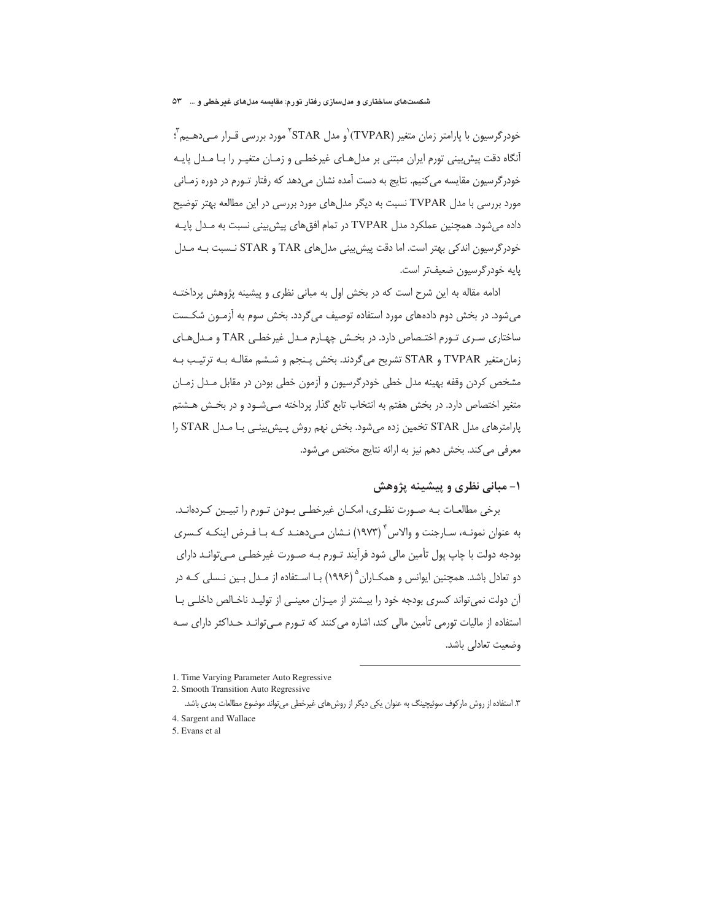## شکستهای ساختاری و مدلسازی رفتار تورم: مقایسه مدلهای غیرخطی و … °۵

خودرگرسیون با پارامتر زمان متغیر (TVPAR)`و مدل STAR`` مورد بررسی قـرار مــ ,دهــیم ٌ ؛ آنگاه دقت پیش بینی تورم ایران مبتنی بر مدل هـای غیرخطـی و زمـان متغیـر را بـا مـدل پایـه خودر گرسیون مقایسه می کنیم. نتایج به دست آمده نشان می دهد که رفتار تـورم در دوره زمـانی مورد بررسی با مدل TVPAR نسبت به دیگر مدلهای مورد بررسی در این مطالعه بهتر توضیح داده می شود. همچنین عملکرد مدل TVPAR در تمام افق های پیش بینی نسبت به مـدل پایـه خودرگرسیون اندکی بهتر است. اما دقت پیش بینی مدلهای TAR و STAR نـسبت بـه مـدل پايه خودرگرسيون ضعيفتر است.

ادامه مقاله به این شرح است که در بخش اول به مبانی نظری و پیشینه پژوهش پرداختـه می شود. در بخش دوم دادههای مورد استفاده توصیف می گردد. بخش سوم به آزمــون شکــست ساختاری سری تورم اختصاص دارد. در بخش چهـارم مـدل غیرخطـی TAR و مـدلهـای زمان متغير TVPAR و STAR تشريح مي گردند. بخش پـنجم و شـشم مقالـه بـه ترتيـب بـه مشخص کردن وقفه بهینه مدل خطی خودرگرسیون و آزمون خطی بودن در مقابل مـدل زمـان متغیر اختصاص دارد. در بخش هفتم به انتخاب تابع گذار پرداخته مے شـود و در بخـش هـشتم پارامترهای مدل STAR تخمین زده می شود. بخش نهم روش پیش بینی با مدل STAR را معرفی می کند. بخش دهم نیز به ارائه نتایج مختص می شود.

# ۱– میانی نظری و پیشینه پژوهش

برخی مطالعـات بـه صـورت نظـری، امکـان غیرخطـی بـودن تـورم را تبیـین کـردهانـد. به عنوان نمونـه، سـارجنت و والاس َّ (١٩٧٣) نـشان مـي دهنـد كـه بـا فـرض اينكـه كـسرى بودجه دولت با چاپ پول تأمین مالی شود فرآیند تـورم بـه صـورت غیرخطـی مـی توانـد دارای دو تعادل باشد. همچنین ایوانس و همکـاران <sup>۵</sup> (۱۹۹۶) بـا اسـتفاده از مـدل بـین نـسلی کـه در آن دولت نمی تواند کسری بودجه خود را بیـشتر از میـزان معینـی از تولیـد ناخـالص داخلـی بـا استفاده از مالیات تورمی تأمین مالی کند، اشاره می کنند که تـورم مـی توانـد حـداکثر دارای سـه وضعيت تعادلي باشد.

<sup>1.</sup> Time Varying Parameter Auto Regressive

<sup>2.</sup> Smooth Transition Auto Regressive

۳. استفاده از روش مارکوف سوئیچینگ به عنوان یکی دیگر از روش۱های غیرخطی میتواند موضوع مطالعات بعدی باشد.

<sup>4.</sup> Sargent and Wallace

<sup>5.</sup> Evans et al.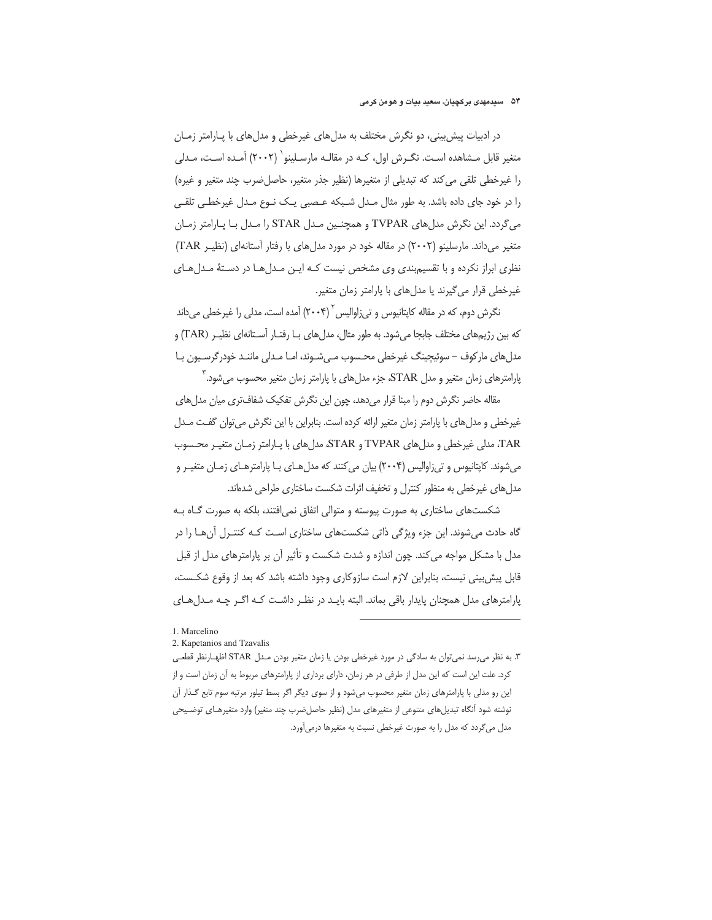#### ۵۴ سیدمهدی برکچیان، سعید بیات و هومن کرمی

در ادبیات پیش بینی، دو نگرش مختلف به مدلهای غیرخطی و مدلهای با پـارامتر زمـان متغیر قابل مـشاهده اسـت. نگـرش اول، کـه در مقالـه مارسـلینو` (۲۰۰۲) آمـده اسـت، مـدلی را غيرخطي تلقى مى كند كه تبديلي از متغيرها (نظير جذر متغير، حاصل ضرب چند متغير و غيره) را در خود جای داده باشد. به طور مثال مـدل شـبکه عـصبی یـک نـوع مـدل غیرخطـی تلقـی می گردد. این نگرش مدل های TVPAR و همچنـین مـدل STAR را مـدل بـا پـارامتر زمـان متغیر می داند. مارسلینو (۲۰۰۲) در مقاله خود در مورد مدل های با رفتار آستانهای (نظیـر TAR) نظری ابراز نکرده و با تقسیم بندی وی مشخص نیست کـه ایـن مـدل۱هـا در دسـتهٔ مـدل۱هـای غیرخطی قرار می گیرند یا مدل های با پارامتر زمان متغیر.

نگرش دوم، که در مقاله کاپتانیوس و تی;(والیس ٌ (۲۰۰۴) آمده است، مدلی را غیرخطی میداند که بین رژیمهای مختلف جابجا می شود. به طور مثال، مدل های بـا رفتـار آسـتانهای نظیـر (TAR) و مدلهای مارکوف – سوئیچینگ غیرخطی محـسوب مـیشـوند، امـا مـدلی ماننـد خودرگرسـیون بـا پارامترهای زمان متغیر و مدل STAR، جزء مدلهای با پارامتر زمان متغیر محسوب میشود. آ

مقاله حاضر نگرش دوم را مبنا قرار میدهد، چون این نگرش تفکیک شفافتری میان مدل های غیرخطی و مدل های با پارامتر زمان متغیر ارائه کرده است. بنابراین با این نگرش می توان گفت مـدل TAR، مدلی غیرخطی و مدلهای TVPAR و STAR، مدلهای با پـارامتر زمـان متغیـر محـسوب میشوند. کاپتانیوس و تیزاوالیس (۲۰۰۴) بیان می کنند که مدل هـای بـا پارامترهـای زمـان متغیـر و مدلهای غیرخطی به منظور کنترل و تخفیف اثرات شکست ساختاری طراحی شدهاند.

شکستهای ساختاری به صورت پیوسته و متوالی اتفاق نمی افتند، بلکه به صورت گـاه بـه گاه حادث می شوند. این جزء ویژگی ذاتی شکستهای ساختاری اسـت کـه کنتـرل آن هـا را در مدل با مشکل مواجه می کند. چون اندازه و شدت شکست و تأثیر آن بر پارامترهای مدل از قبل قابل پیش بینی نیست، بنابراین لازم است سازوکاری وجود داشته باشد که بعد از وقوع شکست، یارامترهای مدل همچنان پایدار باقی بماند. البته بایـد در نظـر داشـت کـه اگـر چـه مـدلهـای

<sup>1</sup> Marcelino

<sup>2.</sup> Kapetanios and Tzavalis

۳. به نظر می رسد نمی توان به سادگی در مورد غیرخطی بودن یا زمان متغیر بودن مـدل STAR اظهـارنظر قطعـی کرد. علت این است که این مدل از طرفی در هر زمان، دارای برداری از پارامترهای مربوط به آن زمان است و از این رو مدلی با پارامترهای زمان متغیر محسوب میشود و از سوی دیگر اگر بسط تیلور مرتبه سوم تابع گـذار آن نوشته شود آنگاه تبدیلهای متنوعی از متغیرهای مدل (نظیر حاصلضرب چند متغیر) وارد متغیرهـای توضـیحی مدل میگردد که مدل را به صورت غیرخطی نسبت به متغیرها درمی آورد.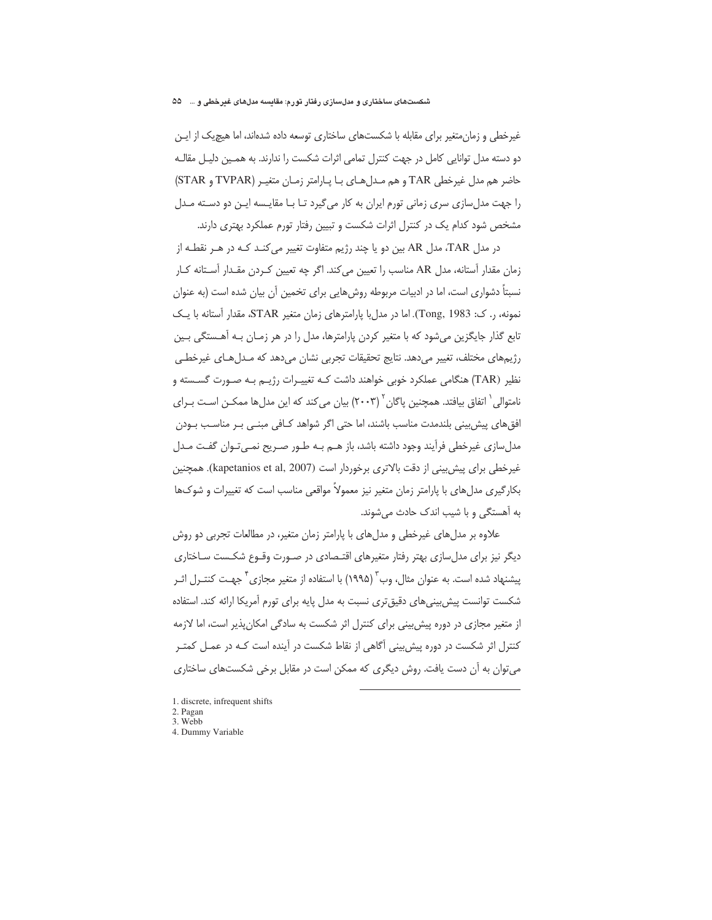غیرخطی و زمان متغیر برای مقابله با شکستهای ساختاری توسعه داده شدهاند، اما هیچیک از ایـن دو دسته مدل توانایی کامل در جهت کنترل تمامی اثرات شکست را ندارند. به همـین دلیـل مقالـه حاضر هم مدل غیرخطی TAR و هم مـدل هـای بـا پـارامتر زمـان متغیـر (TVPAR و STAR) را جهت مدلسازی سری زمانی تورم ایران به کار میگیرد تـا بـا مقایـسه ایـن دو دسـته مـدل مشخص شود کدام یک در کنترل اثرات شکست و تبیین رفتار تورم عملکرد بهتری دارند.

در مدل TAR، مدل AR بین دو یا چند رژیم متفاوت تغییر می کنـد کـه در هـر نقطـه از زمان مقدار آستانه، مدل AR مناسب را تعیین می کند. اگر چه تعیین کـردن مقـدار آسـتانه کـار نسبتاً دشواری است، اما در ادبیات مربوطه روش هایی برای تخمین آن بیان شده است (به عنوان نمونه، ر. ک: Tong, 1983). اما در مدل با پارامترهای زمان متغیر STAR، مقدار آستانه با یـک تابع گذار جایگزین می شود که با متغیر کردن پارامترها، مدل را در هر زمـان بـه آهـستگی بـین رژیمهای مختلف، تغییر میدهد. نتایج تحقیقات تجربی نشان میدهد که مـدلهـای غیرخطـی نظیر (TAR) هنگامی عملکرد خوبی خواهند داشت کـه تغییـرات رژیــم بـه صـورت گســسته و نامتوالی ` اتفاق بیافتد. همچنین پاگان ` (۲۰۰۳) بیان میکند که این مدلها ممکـن اسـت بـرای افق های پیش بینی بلندمدت مناسب باشند، اما حتی اگر شواهد کـافی مبنـی بـر مناسـب بـودن مدلسازی غیرخطی فرآیند وجود داشته باشد، باز هـم بـه طـور صـریح نمـیٍتـوان گفـت مـدل غیرخطی برای پیش بینی از دقت بالاتری برخوردار است (kapetanios et al, 2007). همچنین بکارگیری مدل های با پارامتر زمان متغیر نیز معمولاً مواقعی مناسب است که تغییرات و شوکها به آهستگی و با شیب اندک حادث می شوند.

علاوه بر مدلهای غیرخطی و مدلهای با پارامتر زمان متغیر، در مطالعات تجربی دو روش دیگر نیز برای مدلِسازی بهتر رفتار متغیرهای اقتـصادی در صـورت وقـوع شکـست سـاختاری ِیشنهاد شده است. به عنوان مثال، وب ٌ (۱۹۹۵) با استفاده از متغیر مجازی <sup>۲</sup> جهـت کنتـرل اثـر شکست توانست پیش بینی های دقیق تری نسبت به مدل پایه برای تورم آمریکا ارائه کند. استفاده از متغیر مجازی در دوره پیش بینی برای کنترل اثر شکست به سادگی امکان پذیر است، اما لازمه کنترل اثر شکست در دوره پیش بینی آگاهی از نقاط شکست در آینده است کـه در عمـل کمتـر می توان به آن دست یافت. روش دیگری که ممکن است در مقابل برخی شکستهای ساختاری

- 1. discrete, infrequent shifts
- 2. Pagan
- 3. Webb
- 4. Dummy Variable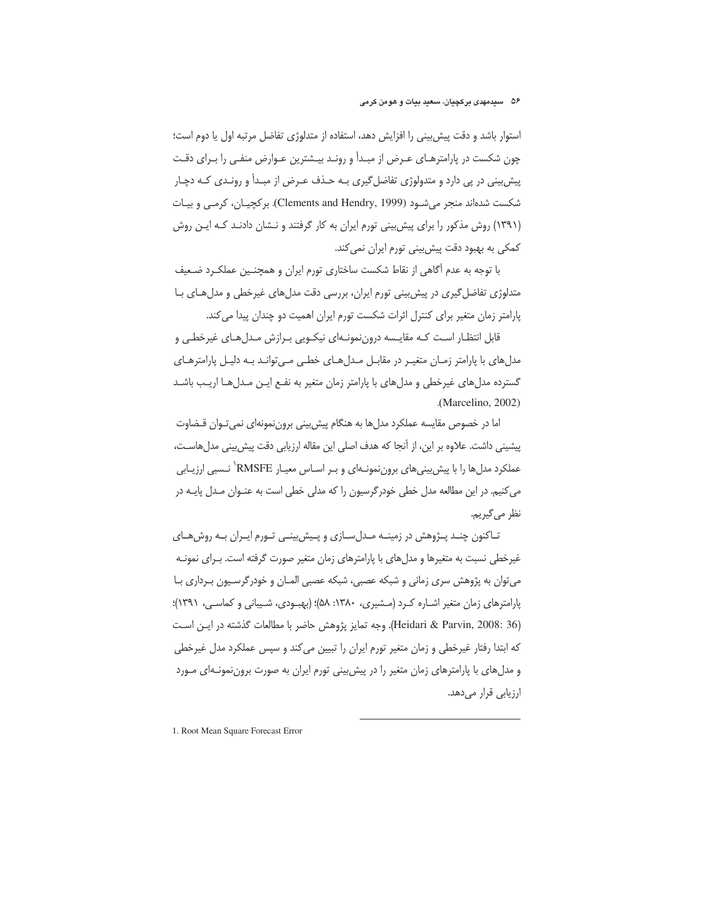## ۵۶ سیدمهدی برکچیان، سعید بیات و هومن کرمی

استوار باشد و دقت پیش بینی را افزایش دهد، استفاده از متدلوژی تفاضل مرتبه اول یا دوم است؛ چون شکست در پارامترهـای عـرض از مبـدأ و رونـد بیـشترین عـوارض منفـی را بـرای دقـت پیش بینی در پی دارد و متدولوژی تفاضل گیری بـه حـذف عـرض از مبـدأ و رونـدی کـه دچـار شکست شدهاند منجر میشـود (Clements and Hendry, 1999). برکچیـان، کرمـی و بیـات (۱۳۹۱) روش مذکور را برای پیش بینی تورم ایران به کار گرفتند و نـشان دادنـد کـه ایـن روش کمکی به بهبود دقت پیش بینی تورم ایران نمی کند.

با توجه به عدم آگاهی از نقاط شکست ساختاری تورم ایران و همچنـین عملکـرد ضـعیف متدلوژی تفاضل گیری در پیش بینی تورم ایران، بررسی دقت مدل های غیرخطی و مدل های با یارامتر زمان متغیر برای کنترل اثرات شکست تورم ایران اهمیت دو چندان پیدا می کند.

قابل انتظار است کـه مقايـسه دروننمونـهاى نيکـويى بـرازش مـدلهـاى غيرخطـى و مدل های با پارامتر زمـان متغیـر در مقابـل مـدل هـای خطـی مـی توانـد بـه دلیـل پارامترهـای گسترده مدلهای غیرخطی و مدلهای با پارامتر زمان متغیر به نفـع ایـن مـدلهـا اریـب باشـد .(Marcelino, 2002)

اما در خصوص مقایسه عملکرد مدلها به هنگام پیش بینی بروننمونهای نمی تـوان قـضاوت پیشینی داشت. علاوه بر این، از آنجا که هدف اصلی این مقاله ارزیابی دقت پیش بینی مدل هاسـت، عملکرد مدل ها را با پیش بینی های برون نمونـهای و بـر اسـاس معیـار RMSFE<sup>'</sup> نـسبی ارزیـابی می کنیم. در این مطالعه مدل خطی خودرگرسیون را که مدلی خطی است به عنـوان مـدل پایـه در نظر م*ي گ*يريم.

تـاکنون چنـد پـژوهش در زمينـه مـدلسـازي و پـيش بينـي تـورم ايـران بـه روشهـاي غیرخطی نسبت به متغیرها و مدلهای با پارامترهای زمان متغیر صورت گرفته است. بـرای نمونـه می توان به پژوهش سری زمانی و شبکه عصبی، شبکه عصبی المـان و خودرگرسـيون بـرداری بـا پارامترهای زمان متغیر اشـاره کـرد (مـشیری، ۱۳۸۰: ۵۸)؛ (بهبـودی، شـیبانی و کماسـی، ۱۳۹۱)؛ (Heidari & Parvin, 2008: 36). وجه تمايز پژوهش حاضر با مطالعات گذشته در ايـن اسـت که ابتدا رفتار غیرخطی و زمان متغیر تورم ایران را تبیین می کند و سپس عملکرد مدل غیرخطی و مدلهای با پارامترهای زمان متغیر را در پیش بینی تورم ایران به صورت برون نمونـهای مـورد ارزیابی قرار میدهد.

1. Root Mean Square Forecast Error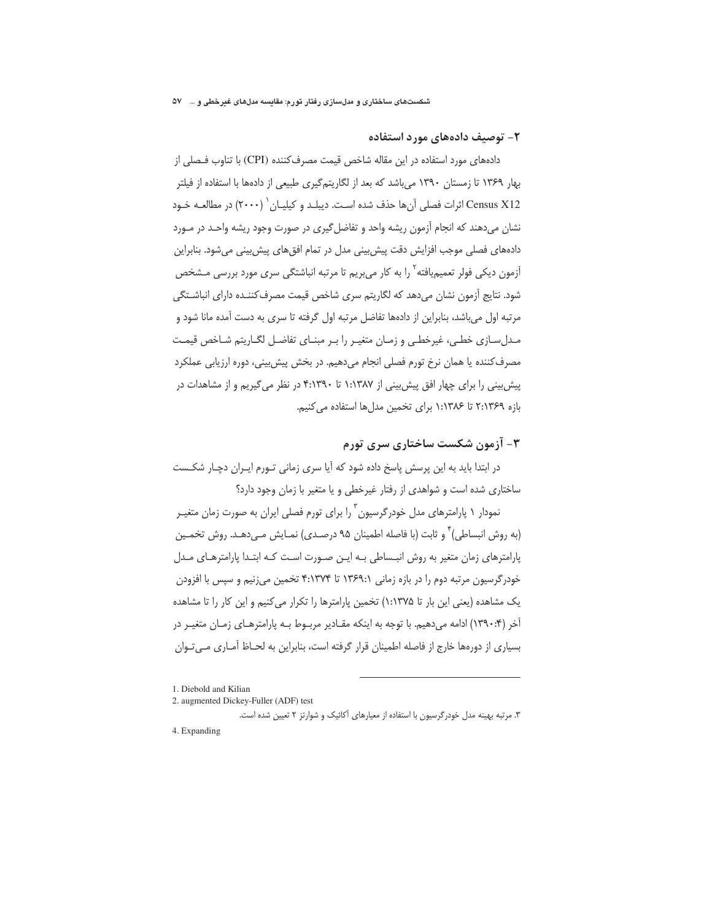## ۲– توصیف دادههای مورد استفاده

دادههای مورد استفاده در این مقاله شاخص قیمت مصرف کننده (CPI) با تناوب فـصلی از بهار ۱۳۶۹ تا زمستان ۱۳۹۰ می باشد که بعد از لگاریتم گیری طبیعی از دادهها با استفاده از فیلتر Census X12 اثرات فصلي آنها حذف شده است. ديبلـد و كيليـان `` (٢٠٠٠) در مطالعـه خـود نشان میدهند که انجام آزمون ریشه واحد و تفاضل گیری در صورت وجود ریشه واحـد در مـورد دادههای فصلی موجب افزایش دقت پیش بینی مدل در تمام افق های پیش بینی می شود. بنابراین آزمون دیکی فولر تعمیمیافته <sup>۲</sup> را به کار می بریم تا مرتبه انباشتگی سری مورد بررسی مـشخص شود. نتایج آزمون نشان می دهد که لگاریتم سری شاخص قیمت مصرف کننـده دارای انباشـتگی مرتبه اول میباشد، بنابراین از دادهها تفاضل مرتبه اول گرفته تا سری به دست آمده مانا شود و مـدلِ سـازي خطـي، غيرخطـي و زمـان متغيـر را بـر مبنــاي تفاضـل لگــاريتم شــاخص قيمـت مصرف کننده یا همان نرخ تورم فصلی انجام میدهیم. در بخش پیش بینی، دوره ارزیابی عملکرد پیش بینی را برای چهار افق پیش بینی از ۱:۱۳۸۷ تا ۴:۱۳۹۰ در نظر می گیریم و از مشاهدات در بازه ٢:١٣۶٩ تا ١:١٣٨۶ براى تخمين مدل ها استفاده مى كنيم.

# ۳- آزمون شکست ساختاری سری تورم

در ابتدا باید به این پرسش پاسخ داده شود که آیا سری زمانی تـورم ایـران دچـار شکـست ساختاری شده است و شواهدی از رفتار غیرخطی و یا متغیر با زمان وجود دارد؟

نمودار ۱ پارامترهای مدل خودرگرسیون ۱٫<sup>۳</sup> را برای تورم فصلی ایران به صورت زمان متغییر (به روش انبساطی) <sup>۲</sup> و ثابت (با فاصله اطمینان ۹۵ درصـدی) نمـایش مـیدهـد. روش تخمـین یارامترهای زمان متغیر به روش انبـساطی بـه ایـن صـورت اسـت کـه ابتـدا پارامترهـای مـدل خودرگرسیون مرتبه دوم را در بازه زمانی ۱۳۶۹:۱ تا ۴:۱۳۷۴ تخمین می;نیم و سپس با افزودن یک مشاهده (یعنی این بار تا ۱:۱۳۷۵) تخمین پارامترها را تکرار می کنیم و این کار را تا مشاهده آخر (۱۳۹۰:۴) ادامه میدهیم. با توجه به اینکه مقـادیر مربـوط بـه پارامترهـای زمـان متغیـر در بسیاری از دورهها خارج از فاصله اطمینان قرار گرفته است، بنابراین به لحــاظ آمــاری مــی تــوان

<sup>1.</sup> Diebold and Kilian

<sup>2.</sup> augmented Dickey-Fuller (ADF) test

۳. مرتبه بهینه مدل خودرگرسیون با استفاده از معیارهای آکائیک و شوارتز ۲ تعیین شده است.

<sup>4.</sup> Expanding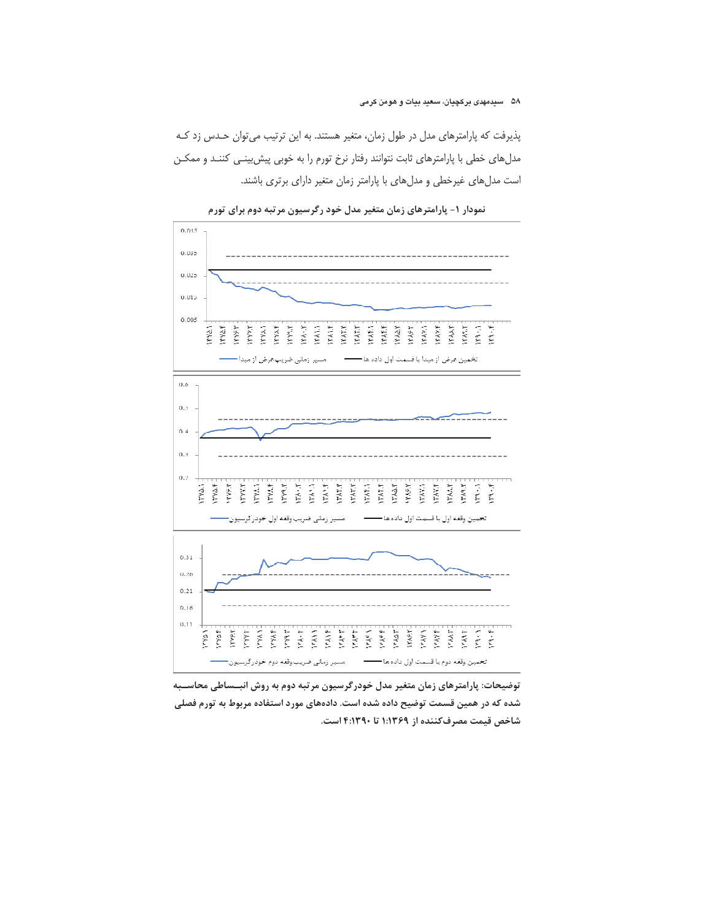پذیرفت که پارامترهای مدل در طول زمان، متغیر هستند. به این ترتیب می توان حدس زد ک مدلهای خطی با پارامترهای ثابت نتوانند رفتار نرخ تورم را به خوبی پیش بینی کننـد و ممکـن است مدل های غیرخطی و مدل های با پارامتر زمان متغیر دارای برتری باشند.



نمودار ۱- پارامترهای زمان متغیر مدل خود رگرسیون مرتبه دوم برای تورم

توضیحات: پارامترهای زمان متغیر مدل خودرگرسیون مرتبه دوم به روش انبــساطی محاســبه شده که در همین قسمت توضیح داده شده است. دادههای مورد استفاده مربوط به تورم فصلی شاخص قيمت مصرفكننده از ١:١٣٦٩ تا ٣:١٣٩٠ است.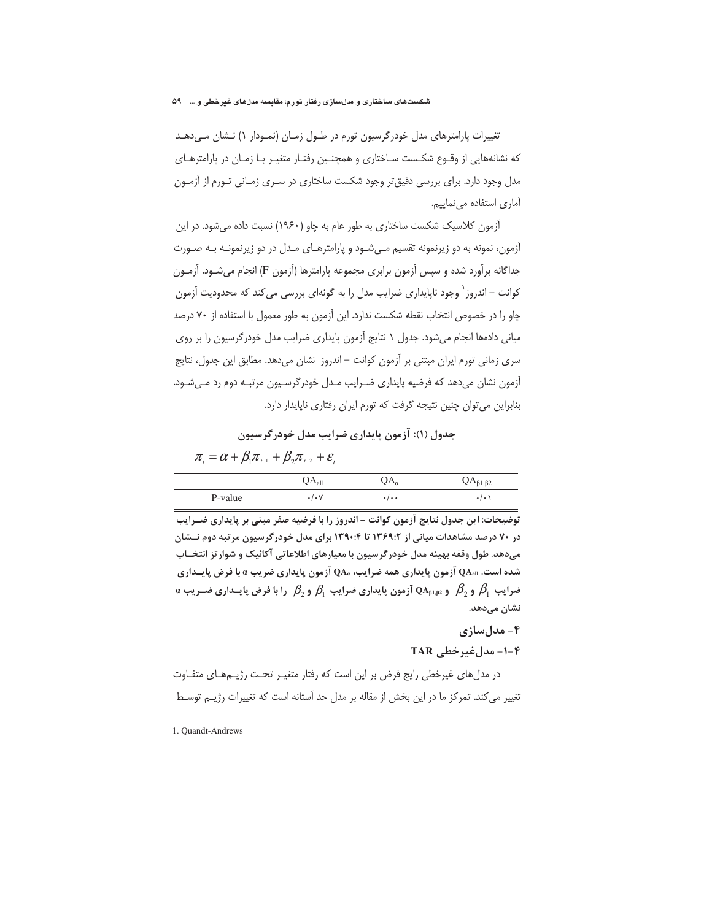تغییرات پارامترهای مدل خودرگرسیون تورم در طـول زمـان (نمـودار ۱) نـشان مـی دهـد که نشانههایی از وقـوع شکـست سـاختاری و همچنـین رفتـار متغیـر بـا زمـان در پارامترهـای مدل وجود دارد. برای بررسی دقیق تر وجود شکست ساختاری در سـری زمـانی تـورم از آزمـون آماري استفاده مي نماييم.

آزمون کلاسیک شکست ساختاری به طور عام به چاو (۱۹۶۰) نسبت داده می شود. در این آزمون، نمونه به دو زیرنمونه تقسیم مے شـود و پارامترهـای مـدل در دو زیرنمونـه بـه صـورت جداگانه برآورد شده و سپس آزمون برابری مجموعه پارامترها (آزمون F) انجام میشـود. آزمـون کوانت – اندروز <sup>۱</sup> وجود ناپایداری ضرایب مدل را به گونهای بررسی می کند که محدودیت آزمون چاو را در خصوص انتخاب نقطه شکست ندارد. این آزمون به طور معمول با استفاده از ۷۰ درصد میانی دادهها انجام میشود. جدول ١ نتایج آزمون پایداری ضرایب مدل خودر گرسیون را بر روی سری زمانی تورم ایران مبتنی بر آزمون کوانت – اندروز نشان میدهد. مطابق این جدول، نتایج آزمون نشان میدهد که فرضیه پایداری ضـرایب مـدل خودرگرسـیون مرتبـه دوم رد مـیشـود. بنابراین می توان چنین نتیجه گرفت که تورم ایران رفتاری ناپایدار دارد.

## جدول (۱): آزمون پایداری ضرایب مدل خودرگرسیون

 $\pi_{i} = \alpha + \beta_{i}\pi_{i} + \beta_{i}\pi_{i} + \varepsilon_{i}$ 

|         | $\mathsf{QA}_{\text{all}}$ | $\mathrm{QA}_{a}$ | $QA_{\beta1,\beta2}$ |
|---------|----------------------------|-------------------|----------------------|
| P-value | $\cdot/\cdot$ $\vee$       | */**              |                      |

توضیحات: این جدول نتایج آزمون کوانت - اندروز را با فرضیه صفر مبنی بر پایداری ضــرایب در ۷۰ درصد مشاهدات میانی از ۱۳۶۹:۲ تا ۱۳۹۰:۴ برای مدل خودرگرسیون مرتبه دوم نــشان می دهد. طول وقفه بهینه مدل خودرگر سیون با معیارهای اطلاعاتی آکائیک و شوار تز انتخــاب شده است.  $\text{QA}_{\text{all}}$  آزمون پایداری همه ضرایب،  $\text{QA}_{a}$  آزمون پایداری ضریب  $a$  با فرض پایــداری  $a$  ضرایب  $\beta_1$  و  $\beta_2$  و  $\alpha_{\mathfrak{p}_1,\mathfrak{p}_2}$  آزمون پایداری ضرایب  $\beta_1$  و  $\beta_2$  را با فرض پایــداری ضــریب نشان میدهد.

## ۴- مدلسازی

۴-۱- مدلغیر خطی TAR

در مدلهای غیرخطی رایج فرض بر این است که رفتار متغیـر تحـت رژیــمهـای متفــاوت تغییر می کند. تمرکز ما در این بخش از مقاله بر مدل حد آستانه است که تغییرات رژیـم توسـط

1. Quandt-Andrews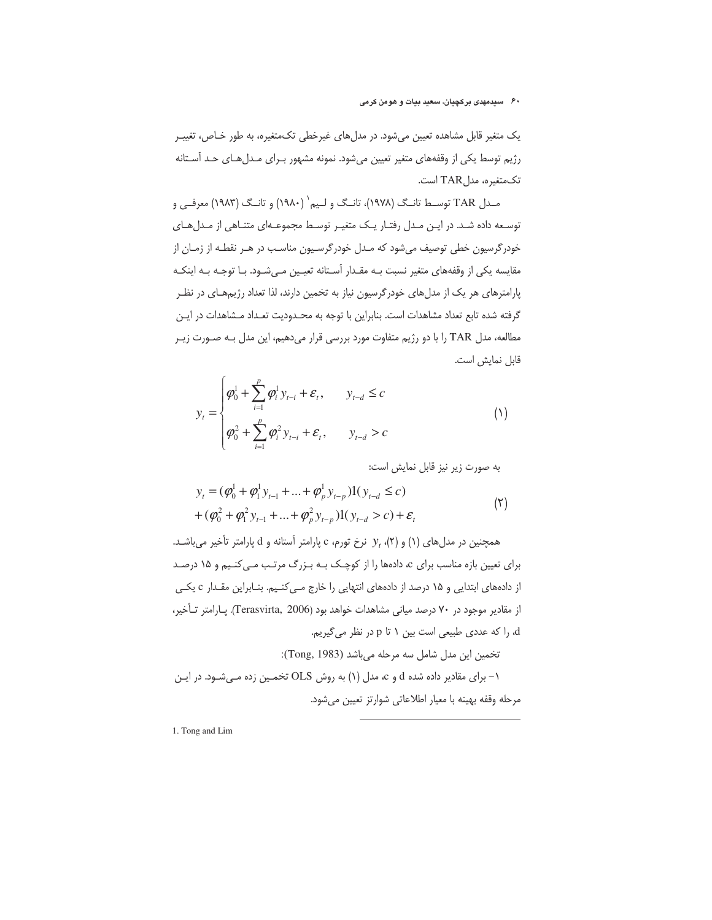یک متغیر قابل مشاهده تعیین میشود. در مدلهای غیرخطی تکمتغیره، به طور خـاص، تغییـر رژیم توسط یکی از وقفههای متغیر تعیین میشود. نمونه مشهور برای مدلهای حد آستانه تكمتغيره، مدلTAR است.

مـدل TAR توسـط تانـگ (١٩٧٨)، تانـگ و لـيم` (١٩٨٠) و تانـگ (١٩٨٣) معرفـي و توسعه داده شد. در این مدل رفتار یک متغیر توسط مجموعهای متناهی از مدل های خودرگرسیون خطی توصیف می شود که مـدل خودرگرسـیون مناسـب در هـر نقطـه از زمـان از مقایسه یکی از وقفههای متغیر نسبت بـه مقـدار آسـتانه تعیـین مـیشـود. بـا توجـه بـه اینکـه پارامترهای هر یک از مدلهای خودرگرسیون نیاز به تخمین دارند، لذا تعداد رژیمهـای در نظـر گرفته شده تابع تعداد مشاهدات است. بنابراین با توجه به محـدودیت تعـداد مـشاهدات در ایـن مطالعه، مدل TAR را با دو رژیم متفاوت مورد بررسی قرار میدهیم، این مدل بـه صـورت زیـر قابل نمايش است.

$$
y_{t} = \begin{cases} \varphi_{0}^{1} + \sum_{i=1}^{p} \varphi_{i}^{1} y_{t-i} + \varepsilon_{t}, & y_{t-d} \leq c \\ \varphi_{0}^{2} + \sum_{i=1}^{p} \varphi_{i}^{2} y_{t-i} + \varepsilon_{t}, & y_{t-d} > c \end{cases}
$$
 (1)

به صورت زير نيز قابل نمايش است:

$$
y_{t} = (\varphi_{0}^{1} + \varphi_{1}^{1} y_{t-1} + ... + \varphi_{p}^{1} y_{t-p}) \mathbf{1}(y_{t-d} \leq c)
$$
  
+ 
$$
(\varphi_{0}^{2} + \varphi_{1}^{2} y_{t-1} + ... + \varphi_{p}^{2} y_{t-p}) \mathbf{1}(y_{t-d} > c) + \varepsilon_{t}
$$
 (7)

همچنین در مدلهای (۱) و (۲)،  $y_t$  نرخ تورم، c پارامتر آستانه و d پارامتر تأخیر میباشد. برای تعیین بازه مناسب برای c، دادهها را از کوچک بـه بـزرگ مرتـب مـی کنـیم و ۱۵ درصـد از دادههای ابتدایی و ۱۵ درصد از دادههای انتهایی را خارج مـی کنـیم. بنـابراین مقـدار c یکـی از مقادیر موجود در ۷۰ درصد میانی مشاهدات خواهد بود (Terasvirta, 2006). یارامتر تأخیر، d، را كه عددي طبيعي است بين ١ تا p در نظر مي گيريم. تخمين اين مدل شامل سه مرحله مي باشد (Tong, 1983):

۱- برای مقادیر داده شده d و c، مدل (۱) به روش OLS تخمین زده مـی شـود. در ایـن مرحله وقفه بهينه با معيار اطلاعاتي شوارتز تعيين مي شود.

1. Tong and Lim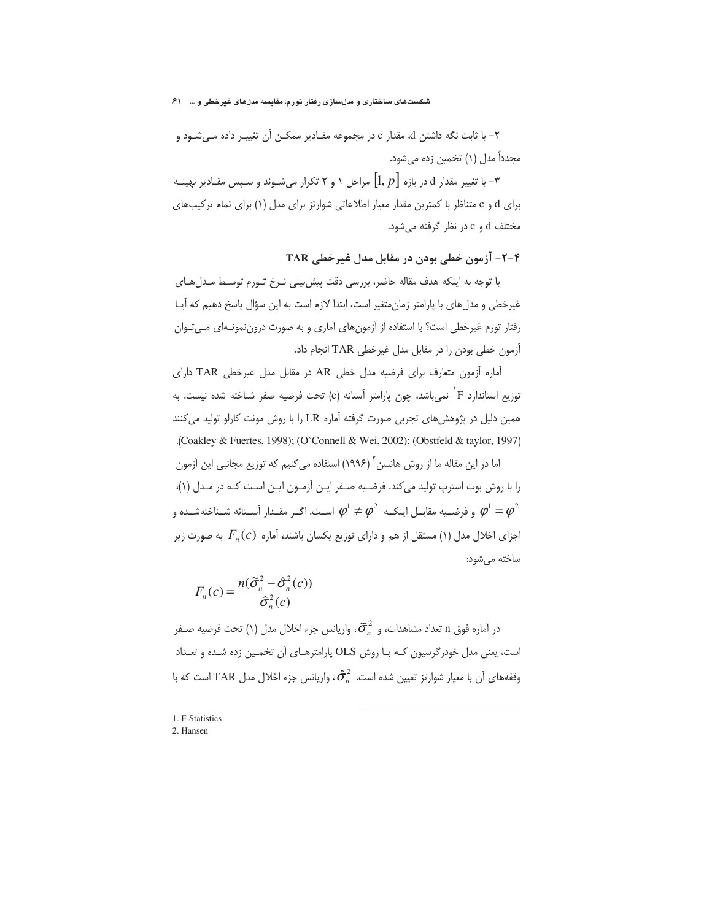شکستهای ساختاری و مدلسازی رفتار تورم: مقایسه مدلهای غیرخطی و … ۶۱

۲– با ثابت نگه داشتن d، مقدار c در مجموعه مقـادیر ممکـن آن تغییـر داده مـیشـود و مجدداً مدل (۱) تخمین زده میشود.

ا تغییر مقدار d در بازه  $[1,p]$  مراحل ۱ و ۲ تکرار میشـوند و سـپس مقــادیر بهینــه  $\mathbb {^{\mathsf{T}}}$ برای d و c متناظر با کمترین مقدار معیار اطلاعاتی شوارتز برای مدل (۱) برای تمام ترکیبهای  $c_1$  مختلف d و c در نظر گرفته می شود.

**TAR** آزمون خطی بودن در مقابل مدل غیرخطی TAR

با توجه به اینکه هدف مقاله حاضر، بررسی دقت پیش بینی نـرخ تـورم توسـط مـدلهـای غیرخطی و مدلهای با پارامتر زمان متغیر است، ابتدا لازم است به این سؤال پاسخ دهیم که آیـا رفتار تورم غیرخطی است؟ با استفاده از آزمونهای آماری و به صورت دروننمونـهای مــیتـوان آزمون خطی بودن را در مقابل مدل غیرخطی TAR انجام داد.

آماره آزمون متعارف برای فرضیه مدل خطی AR در مقابل مدل غیرخطی TAR دارای توزيع استاندارد F <sup>\</sup> نمىباشد، چون پارامتر اَستانه (c) تحت فرضيه صفر شناخته شده نيست. به همین دلیل در پژوهشهای تجربی صورت گرفته آماره LR را با روش مونت کارلو تولید میکنند .(Coakley & Fuertes, 1998); (O`Connell & Wei, 2002); (Obstfeld & taylor, 1997)

اما در این مقاله ما از روش هانسن<sup>٬ (</sup> ۱۹۹۶) استفاده می *ک*نیم که توزیع مجانبی این آزمون را با روش ہوت استرب تولید می کند. فرضـیه صـفر ایـن آزمـون ایـن اسـت کـه در مـدل (۱)، و فرضـيه مقابـل اينكــه  $\varphi^1\neq\varphi^2$  اســت. اگــر مقــدار آســتانه شــناختهشــده و  $\varphi^1=\varphi^2$ اجزای اخلال مدل (۱) مستقل از هم و دارای توزیع یکسان باشند، آماره  $F_n(c)$  به صورت زیر ساخته می شود:

$$
F_n(c) = \frac{n(\tilde{\sigma}_n^2 - \hat{\sigma}_n^2(c))}{\hat{\sigma}_n^2(c)}
$$

 $\tilde{\sigma}_{\alpha}^2$  در آماره فوق n تعداد مشاهدات، و  $\tilde{\sigma}_{n}^2$ ، واریانس جزء اخلال مدل (۱) تحت فرضیه صـفر است، یعنی مدل خودرگرسیون کـه بـا روش OLS پارامترهـای آن تخمـین زده شـده و تعـداد وقفههای آن با معیار شوارتز تعیین شده است.  $\hat{\sigma}_n^2$ ، واریانس جزء اخلال مدل TAR است که با

-

<sup>1.</sup> F-Statistics

<sup>2.</sup> Hansen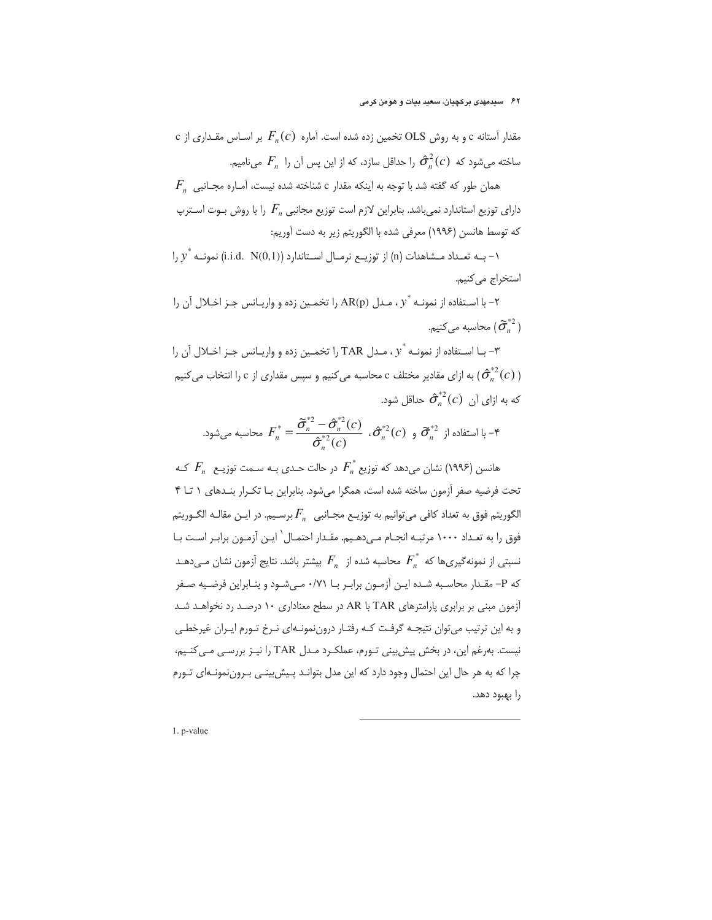c نتتانه ۶ و به روش OLS تخمین زده شده است. آماره 
$$
F_n(c)
$$
 بر اساس مقداری از  
ماخته میشود که  $\hat{\sigma}_n^2(c)$  را حداقل سازد، که از این پس آن را  $F_n$  مینامیم.

 $F_{n+1}$ همان طور که گفته شد با توجه به اینکه مقدار c شناخته شده نیست، آمـاره مجـانبی دارای توزیع استاندارد نمیباشد. بنابراین لازم است توزیع مجانبی  $F_n$  را با روش بـوت اسـترپ كه توسط هانسن (١٩٩۶) معرفي شده با الگوريتم زير به دست آوريم:

ا - بــه تعــداد مــشاهدات (n) از توزيــع نرمــال اســتاندارد (i.i.d. N(0,1)) نمونــه  $y^*$  را استخراج مي كنيم.

- با اسـتفاده از نمونـه  $v^*$  ، مـدل AR(p) را تخمـین زده و واریـانس جـز اخـلال آن را  $\sim$ محاسبه می $\mathcal{\widetilde{G}}_n^{*2}$  ) محاسبه می

7– با استفاده از نمونه \* ر
$$
۰، مـدل TAR را تخمـین زده و واری۔انس جـز اخـلال آن را|  $(\hat{\sigma}_n^{*2}(c))$  به ازای مقادیر مختلف ۵ محاسبه میکنیم و سپس مقداری از ۲ را انتخاب میکنیم  
که به ازای آن  $\hat{\sigma}_n^{*2}(c)$  حداقل شود.
$$

- با استفاده از 
$$
F_n^* = \frac{\tilde{\sigma}_n^{*2} - \hat{\sigma}_n^{*2}(c)}{\hat{\sigma}_n^{*2}(c)} \cdot \hat{\sigma}_n^{*2}(c) \cdot \tilde{\sigma}_n^{*2}
$$

هانسن (۱۹۹۶) نشان می $\epsilon$ هد که توزیع  $F_{n}^{*}$  در حالت حـدی بـه سـمت توزیـع  $F_{n}$  کـه تحت فرضیه صفر آزمون ساخته شده است، همگرا می شود. بنابراین بـا تکـرار بنـدهای ١ تـا ۴ الگوريتم فوق به تعداد كافي مي $i$ وانيم به توزيــع مجــانبي  $F_n$  برسـيم. در ايــن مقالــه الگــوريتم فوق را به تعـداد ۱۰۰۰ مرتبـه انجـام مـى دهـيم. مقـدار احتمـال` ايـن آزمـون برابـر اسـت بـا نسبتی از نمونهگیریها که  $F_{_{n}}^{^{\ast}}$  محاسبه شده از  $F_{_{n}}$  بیشتر باشد. نتایج آزمون نشان مے دهـد که P- مقـدار محاسـبه شـده ایـن آزمـون برابـر بـا ۰/۷۱ مـیشـود و بنـابراین فرضـیه صـفر آزمون مبنی بر برابری پارامترهای TAR با AR در سطح معناداری ۱۰ درصد رد نخواهـد شـد و به این ترتیب میتوان نتیجـه گرفـت کـه رفتـار دروننمونـهای نـرخ تـورم ایـران غیرخطـی نیست. بهرغم این، در بخش پیش بینی تورم، عملک رد مدل TAR را نیـز بررسـی مـی کنـیم، چرا که به هر حال این احتمال وجود دارد که این مدل بتوانـد پـیش بینـی بـروننمونـهای تـورم را بهبود دهد.

1. p-value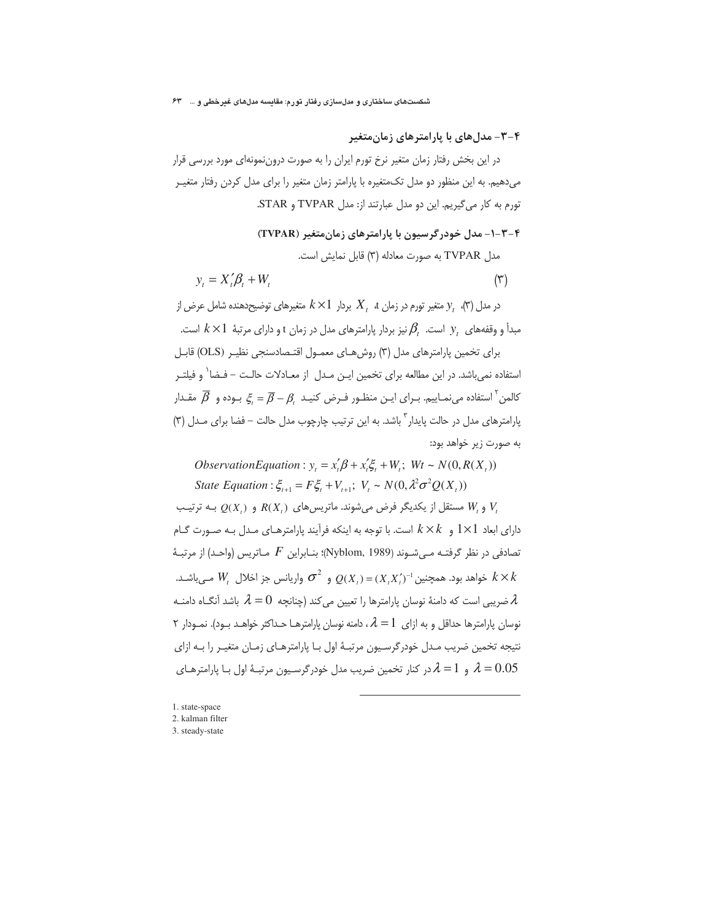۴–۳– مدل های با یارامتر های زمان متغیر

در این بخش رفتار زمان متغیر نرخ تورم ایران را به صورت دروننمونهای مورد بررسی قرار میدهیم. به این منظور دو مدل تکمتغیره با پارامتر زمان متغیر را برای مدل کردن رفتار متغیـر تورم به كار مي گيريم. اين دو مدل عبارتند از: مدل TVPAR و STAR.

## ۴-۳-۱- مدل خودر گرسیون با یارامترهای زمان متغیر (TVPAR)

مدل TVPAR به صورت معادله (٣) قابل نمایش است.

$$
y_t = X_t' \beta_t + W_t \tag{(*)}
$$

در مدل (۳)،  $y_{t}$  متغیر تورم در زمان  $X_{t}$  بردار  $k\times 1$  متغیرهای توضیحدهنده شامل عرض از مبدأ و وقفههای  $y$  است.  $\beta_t$ نیز بردار پارامترهای مدل در زمان t و دارای مرتبهٔ  $k\times 1$  است.

برای تخمین پارامترهای مدل (۳) روش هـای معمـول اقتـصادسنجی نظیـر (OLS) قابـل استفاده نمی،باشد. در این مطالعه برای تخمین ایـن مـدل از معـادلات حالـت – فـضا` و فیلتـر کالمن ٔ استفاده می نمـاییم. بــرای ایــن منظـور فــرض کنیــد  $\bar{\beta}-\beta$  جــوده و  $\bar{\beta}$  مقــدار کالمن پارامترهای مدل در حالت پایدار ؓ باشد. به این ترتیب چارچوب مدل حالت – فضا برای مـدل (۳) به صورت زیر خواهد بود:

*ObservationEquation*:  $y = x'_1 \beta + x'_2 \xi + W$ ;  $Wt \sim N(0, R(X_1))$ State Equation:  $\xi_{t+1} = F \xi_t + V_{t+1}$ ;  $V_t \sim N(0, \lambda^2 \sigma^2 Q(X_t))$ 

بله ترتیب  $Q(X)$  مستقل از یکدیگر فرض می شوند. ماتریس های  $R(X)$  و  $W$ دارای ابعاد 1×1 و  $k\times k$  است. با توجه به اینکه فرآیند پارامترهـای مـدل بـه صـورت گـام تصادفی در نظر گرفتـه مـی٬شـوند (Nyblom, 1989)؛ بنـابراین  $F$  مـاتریس (واحـد) از مرتبـهٔ خواهد بود. همچنین $(X,X)^{-1}(X,X)^{-1}$  و  $\sigma^2$  واریانس جز اخلال  $W$  مے باشـد.  $k\times k$ ضریبی است که دامنهٔ نوسان پارامترها را تعیین میکند (چنانچه  $\lambda=0$  باشد آنگـاه دامنـه $\lambda$ نوسان پارامترها حداقل و به ازای  $\lambda=1$ ، دامنه نوسان پارامترهـا حـداکثر خواهـد بـود). نمـودار ۲ نتیجه تخمین ضریب مـدل خودرگرسـیون مرتبـهٔ اول بـا پارامترهـای زمـان متغیـر را بـه ازای و  $\lambda=1$  در کنار تخمین ضریب مدل خودرگرسـیون مرتبـهٔ اول بـا پارامترهـای  $\lambda=0.05$ 

<sup>1.</sup> state-space

<sup>2.</sup> kalman filter

<sup>3.</sup> steady-state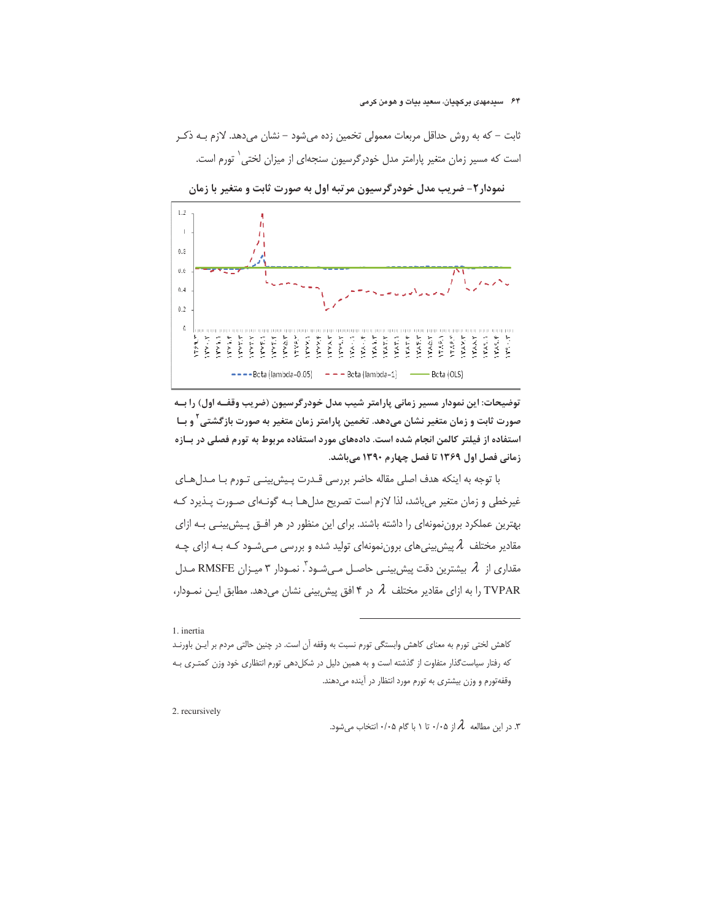ثابت – که به روش حداقل مربعات معمولی تخمین زده میشود – نشان میدهد. لازم بـه ذکـر است که مسیر زمان متغیر پارامتر مدل خودرگرسیون سنجهای از میزان لختی<sup>\</sup> تورم است.



نمودار۲- ضریب مدل خودرگرسیون مرتبه اول به صورت ثابت و متغیر با زمان

توضیحات: این نمودار مسیر زمانی پارامتر شیب مدل خودرگرسیون (ضریب وقفــه اول) را بــه صورت ثابت و زمان متغیر نشان میدهد. تخمین پارامتر زمان متغیر به صورت بازگشتی <sup>۲</sup> و بــا استفاده از فیلتر کالمن انجام شده است. دادههای مورد استفاده مربوط به تورم فصلی در بـازه زمانی فصل اول ۱۳۶۹ تا فصل چهارم ۱۳۹۰ میباشد.

با توجه به اینکه هدف اصلی مقاله حاضر بررسی قـدرت پـیش بینـی تـورم بـا مـدلهـای غیرخطی و زمان متغیر می باشد، لذا لازم است تصریح مدل هـا بـه گونـهای صـورت پـذیرد کـه بهترین عملکرد بروننمونهای را داشته باشند. برای این منظور در هر افــق پـیش بینــی بــه ازای مقادیر مختلف  $\,\lambda\,$ پیش بینی های برون نمونهای تولید شده و بررسی مـیشـود کـه بـه ازای چـه مقداری از  ${\mathcal{A}}$  بیشترین دقت پیش بینـی حاصـل مـیشـود ٌ. نمـودار ۳ میـزان RMSFE مـدل TVPAR را به ازای مقادیر مختلف Â در ۴ افق پیش بینی نشان میدهد. مطابق ایـن نمـودار،

1 inertia

كاهش لختى تورم به معناى كاهش وابستگى تورم نسبت به وقفه آن است. در چنين حالتى مردم بر ايـن باورنـد که رفتار سیاست گذار متفاوت از گذشته است و به همین دلیل در شکلدهی تورم انتظاری خود وزن کمتـری بـه وقفهتورم و وزن بیشتری به تورم مورد انتظار در آینده می دهند.

2. recursively

. در این مطالعه  $\,\lambda$  از ۰/۰۵ تا ۱ با گام ۰/۰۵ انتخاب می شود.  $\lambda$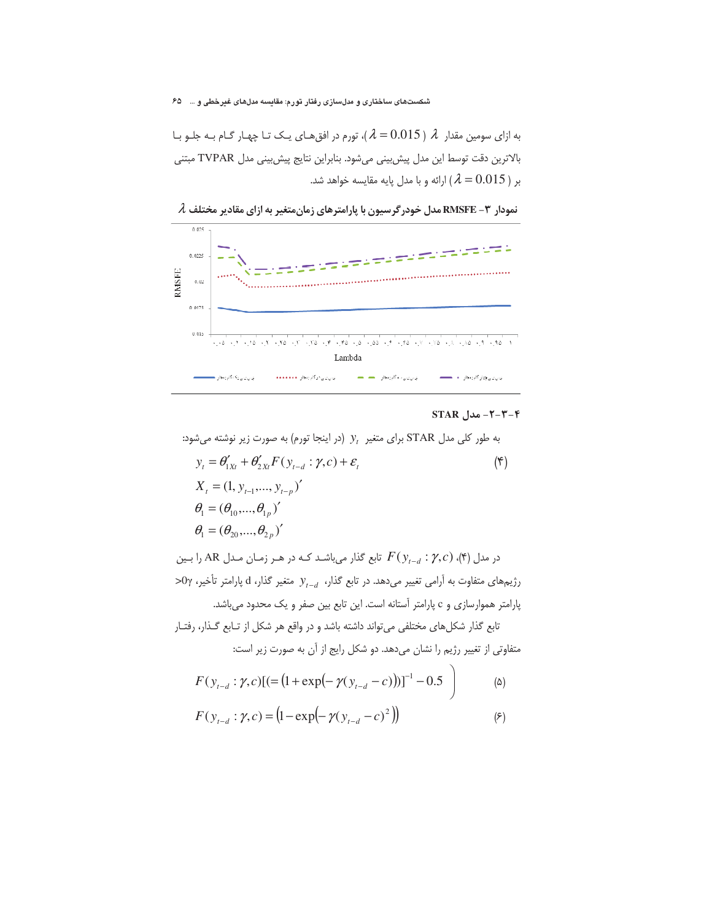شکستهای ساختاری و مدلسازی رفتار تورم: مقایسه مدلهای غیرخطی و … \_ ۶۵

به ازای سومین مقدار  $\lambda$  ( 0.015  $\lambda$  )، تورم در افق هـای یـک تـا چهـار گـام بـه جلـو بـا بالاترين دقت توسط اين مدل پيش بيني مي شود. بنابراين نتايج پيش بيني مدل TVPAR مبتني بر ( 0.015  $\lambda = 0.015$ ) ارائه و با مدل پایه مقایسه خواهد شد.



 $\,\lambda\,$ نمودار ۳ – RMSFE مدل خودرگرسیون با پارامترهای زمانمتغیر به ازای مقادیر مختلف  $\lambda$ 

## $STAR$  -۲-۳-۴ مدل $-7-7-7$

به طور کلی مدل STAR برای متغیر  $y_{_{t}}\,$  (در اینجا تورم) به صورت زیر نوشته میشود:

$$
y_{t} = \theta'_{1Xt} + \theta'_{2Xt}F(y_{t-d} : \gamma, c) + \varepsilon_{t}
$$
  
\n
$$
X_{t} = (1, y_{t-1}, ..., y_{t-p})'
$$
  
\n
$$
\theta_{1} = (\theta_{10}, ..., \theta_{1p})'
$$
  
\n
$$
\theta_{1} = (\theta_{20}, ..., \theta_{2p})'
$$
  
\n(†)

در مدل (۴)،  $F(y_{t-d}: \gamma, c)$  تابع گذار می باشـد کـه در هـر زمـان مـدل AR را بـین  $\sim$ رژیمهای متفاوت به آرامی تغییر میدهد. در تابع گذار،  $y_{t-d}$  متغیر گذار، d پارامتر تأخیر، γ0< پارامتر هموارسازی و c پارامتر آستانه است. این تابع بین صفر و یک محدود می باشد.

تابع گذار شکلهای مختلفی می تواند داشته باشد و در واقع هر شکل از تـابع گـذار، رفتـار متفاوتی از تغییر رژیم را نشان میدهد. دو شکل رایج از آن به صورت زیر است:

$$
F(y_{t-d}: \gamma, c) [(- (1 + \exp(-\gamma(y_{t-d} - c)))]^{-1} - 0.5 ]
$$
 (a)

$$
F(y_{t-d}: \gamma, c) = (1 - \exp(-\gamma(y_{t-d} - c)^2))
$$
 (8)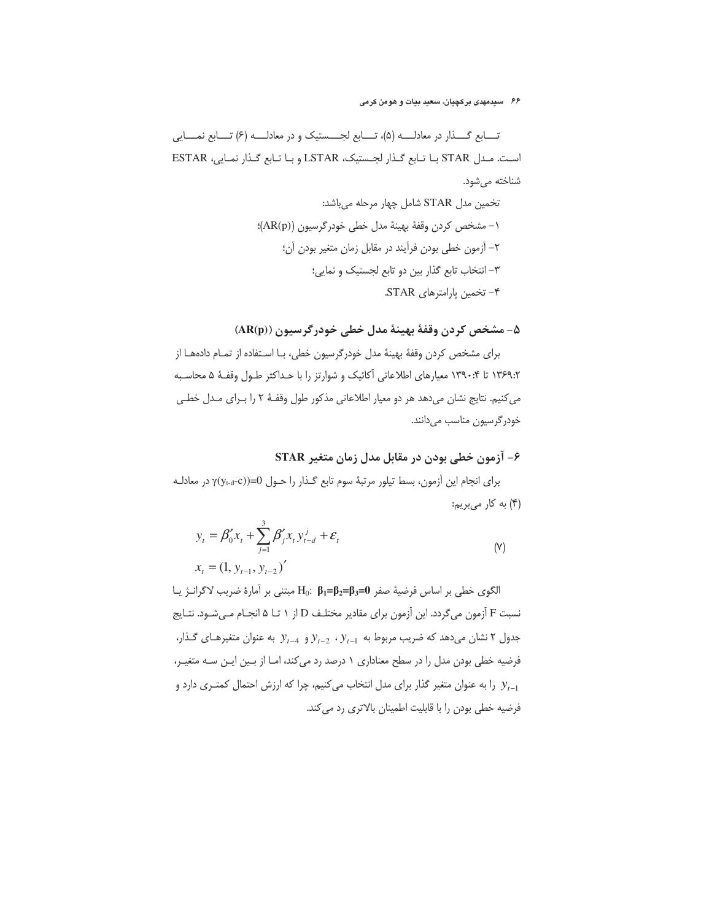## ۶۶ سیدمهدی برکچیان، سعید بیات و هومن کرمی

تــــابع گــــذار در معادلـــــه (۵)، تــــابع لجـــــستیک و در معادلـــــه (۶) تــــابع نمـــــایی است. مدل STAR با تابع گذار لجستيک، LSTAR و با تابع گذار نمايي، ESTAR شناخته می شود.

# ۵- مشخص کردن وقفهٔ بهینهٔ مدل خطی خودرگرسیون ((AR(p)

برای مشخص کردن وقفهٔ بهینهٔ مدل خودرگرسیون خطی، بـا اسـتفاده از تمـام دادههـا از ۱۳۶۹:۲ تا ۱۳۹۰:۴ معیارهای اطلاعاتی آکائیک و شوارتز را با حداکثر طـول وقفـهٔ ۵ محاسـبه می کنیم. نتایج نشان میدهد هر دو معیار اطلاعاتی مذکور طول وقفـهٔ ۲ را بـرای مـدل خطـی خودرگرسيون مناسب مي دانند.

## ۶- آزمون خطی بودن در مقابل مدل زمان متغیر STAR

برای انجام این آزمون، بسط تیلور مرتبهٔ سوم تابع گذار را حـول 0=((yt-d-c) در معادلـه (۴) به کار میبریم:

$$
y_{t} = \beta_{0}' x_{t} + \sum_{j=1}^{3} \beta_{j}' x_{t} y_{t-d}^{j} + \varepsilon_{t}
$$
  

$$
x_{t} = (1, y_{t-1}, y_{t-2})'
$$
 (Y)

الكوى خطى بر اساس فرضية صفر H<sub>0</sub>: β<sub>1</sub>=β<sub>2</sub>=β<sub>3</sub>=0 مبتنى بر آمارة ضريب لاگرانـژ يـا نسبت F آزمون می گردد. این آزمون برای مقادیر مختلـف D از ۱ تـا ۵ انجـام مـیشـود. نتـایج جدول ۲ نشان میدهد که ضریب مربوط به  $y_{t-1}$  ،  $y_{t-2}$  و  $y_{t-1}$  به عنوان متغیرهای گذار، فرضیه خطی بودن مدل را در سطح معناداری ۱ درصد رد می کند، امـا از بـین ایـن سـه متغیـر، را به عنوان متغیر گذار برای مدل انتخاب میکنیم، چرا که ارزش احتمال کمتـری دارد و  $y_{t-1}$ فرضیه خطی بودن را با قابلیت اطمینان بالاتری رد می کند.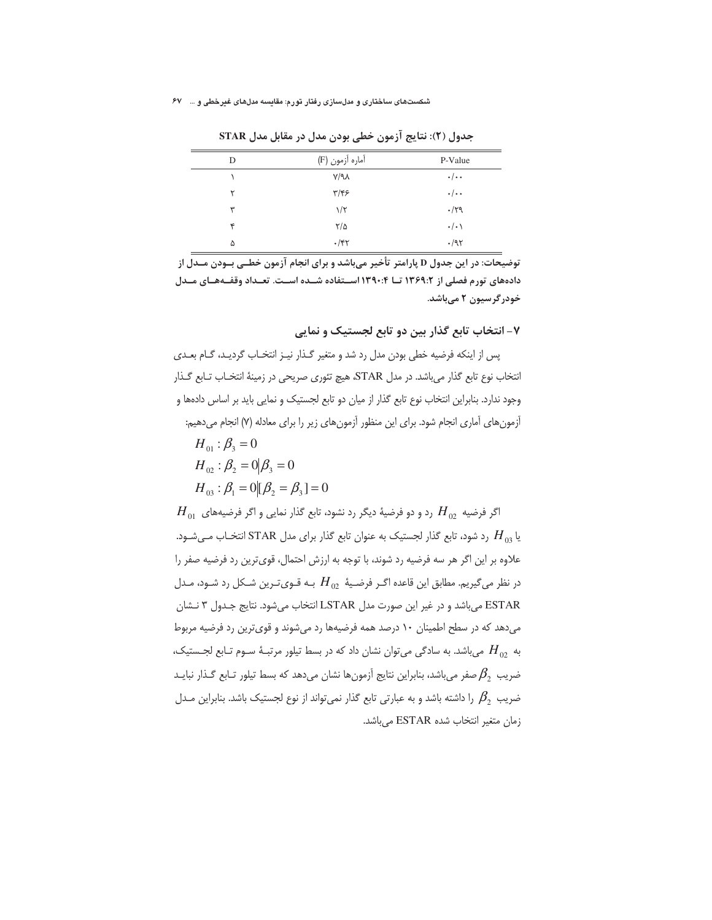| D | آماره آزمون (F)   | P-Value       |
|---|-------------------|---------------|
|   | $V/\gamma\Lambda$ | $\cdot/\cdot$ |
| ۲ | $\tau/\tau$ ۶     | $\cdot/\cdot$ |
| ٣ | $1/\zeta$         | $\cdot$ /۲۹   |
| ۴ | $\frac{8}{2}$     | $\cdot/\cdot$ |
| ۵ | $\cdot$ /۴۲       | $\cdot$ /95   |

جدول (٢): نتايج آزمون خطي بودن مدل در مقابل مدل STAR

توضیحات: در این جدول D پارامتر تأخیر می باشد و برای انجام آزمون خطبی بـودن مــدل از دادههای تورم فصلی از ۱۳۶۹:۲ تــا ۱۳۹۰:۴ اسـتفاده شــده اسـت. تعـداد وقفــههــای مــدل خودرگرسیون ۲ میباشد.

۷- انتخاب تابع گذار بین دو تابع لجستیک و نمایی

پس از اینکه فرضیه خطی بودن مدل رد شد و متغیر گذار نیـز انتخـاب گردیـد، گـام بعـدی انتخاب نوع تابع گذار می باشد. در مدل STAR، هیچ تئوری صریحی در زمینهٔ انتخـاب تـابع گـذار وجود ندارد. بنابراین انتخاب نوع تابع گذار از میان دو تابع لجستیک و نمایی باید بر اساس دادهها و آزمون های آماری انجام شود. برای این منظور آزمون های زیر را برای معادله (۷) انجام میدهیم:  $H_{01}$ :  $\beta_2 = 0$  $H_{02}$ :  $\beta_2 = 0 | \beta_3 = 0$  $H_{03}$ :  $\beta_1 = 0$   $[\beta_2 = \beta_3] = 0$  $H_{_{01}}$  اگر فرضیه  $H_{_{02}}$  رد و دو فرضیهٔ دیگر رد نشود، تابع گذار نمایی و اگر فرضیههای

یا  $H_{03}$  رد شود، تابع گذار لجستیک به عنوان تابع گذار برای مدل STAR انتخـاب مـی شـود. علاوه بر این اگر هر سه فرضیه رد شوند، با توجه به ارزش احتمال، قویترین رد فرضیه صفر را در نظر می گیریم. مطابق این قاعده اگـر فرضـیهٔ  $H_{02}$  بـه قـویتـرین شـکل رد شـود، مـدل ESTAR میباشد و در غیر این صورت مدل LSTAR انتخاب میشود. نتایج جـدول ۳ نـشان می دهد که در سطح اطمینان ۱۰ درصد همه فرضیهها رد می شوند و قوی ترین رد فرضیه مربوط به  $H_{02}$  میباشد. به سادگی میتوان نشان داد که در بسط تیلور مرتبـهٔ سـوم تـابع لجـستیک، ضريب  $\beta_2$  صفر مي باشد، بنابراين نتايج آزمونها نشان مي دهد كه بسط تيلور تـابع گـذار نبايـد ضریب  $\,\,\beta_2\,\,$  را داشته باشد و به عبارتی تابع گذار نمی تواند از نوع لجستیک باشد. بنابراین مـدل زمان متغير انتخاب شده ESTAR مي باشد.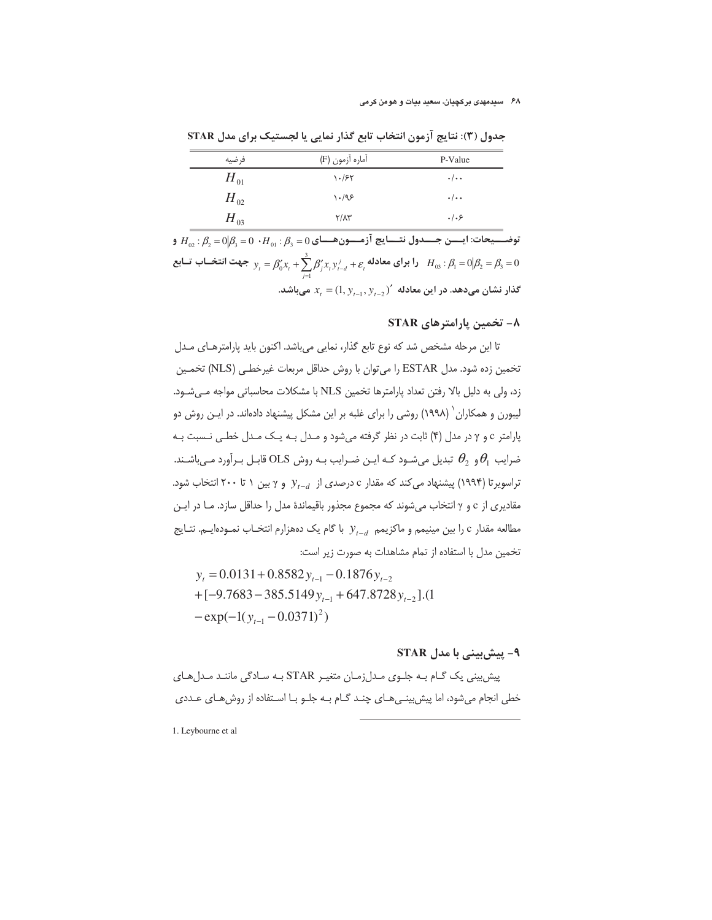| فرضيه    | آماره آزمون (F)     | P-Value       |
|----------|---------------------|---------------|
| $H_{01}$ | $\frac{1.84}{1.20}$ | $\cdot/\cdot$ |
| $H_{02}$ | $\cdot$ /98         | $\cdot/\cdot$ |
| $H_{03}$ | $Y/\Lambda Y$       | .   . 5       |

جدول (٣): نتايج آزمون انتخاب تابع گذار نمايي يا لجستيک براي مدل STAR

 $H_{\alpha}$ : توضـــيحات: ايـــــن جــــدول نتــــايج آزمــــون هـــاي  $\beta_{\alpha} = 0$  ،  $H_{\alpha}$  :  $\beta_{\alpha} = 0$  و را برای معادله  $\beta_i=\beta'_0$   $\gamma_i=\beta'_0$   $\gamma_i+\sum_{l=0}^3\beta'_j$   $\gamma_i$   $\gamma_{i-d}^j+\varepsilon_i$   $\gamma_i$   $\beta_0:\beta_1=0$   $\beta_2=\beta_3=0$ گذار نشان میدهد. در این معادله  $(x_{i-1}, y_{i-2}, y_{i-1}, y_{i-1})$  میباشد.

## ٨- تخمين پارامترهاي STAR

تا این مرحله مشخص شد که نوع تابع گذار، نمایی می باشد. اکنون باید پارامترهـای مـدل تخمین زده شود. مدل ESTAR را می توان با روش حداقل مربعات غیرخطـی (NLS) تخمـین زد، ولی به دلیل بالا رفتن تعداد پارامترها تخمین NLS با مشکلات محاسباتی مواجه می شود. لیبورن و همکاران` (۱۹۹۸) روشی را برای غلبه بر این مشکل پیشنهاد دادهاند. در ایـن روش دو پارامتر c و γ در مدل (۴) ثابت در نظر گرفته میشود و مـدل بـه یـک مـدل خطـی نـسبت بـه ضرایب  $\theta_1$ و  $\theta_2$  تبدیل میشـود کـه ایـن ضـرایب بـه روش OLS قابـل بـرآورد مـیباشـند. تراسویرتا (۱۹۹۴) پیشنهاد می کند که مقدار c درصدی از  $y_{t-d}$  و  $\gamma$ بین ۱ تا ۲۰۰ انتخاب شود. مقادیری از c و γ انتخاب میشوند که مجموع مجذور باقیماندهٔ مدل را حداقل سازد. مـا در ایـن مطالعه مقدار c را بین مینیمم و ماکزیمم  $y_{t-d}$  با گام یک دههزارم انتخـاب نمـودهایـم. نتـایج تخمین مدل با استفاده از تمام مشاهدات به صورت زیر است:

$$
y_{t} = 0.0131 + 0.8582 y_{t-1} - 0.1876 y_{t-2}
$$
  
+ [-9.7683 - 385.5149 y\_{t-1} + 647.8728 y\_{t-2}].(1  
- exp(-1(y\_{t-1} - 0.0371)<sup>2</sup>)

## ۹– پیش بینے, یا مدل STAR

پیش بینی یک گـام بـه جلـوی مـدل;مـان متغیـر STAR بـه سـادگی ماننـد مـدلهـای خطی انجام می شود، اما پیش بینے هـای چنـد گـام بـه جلـو بـا اسـتفاده از روش هـای عـددی

1. Leybourne et al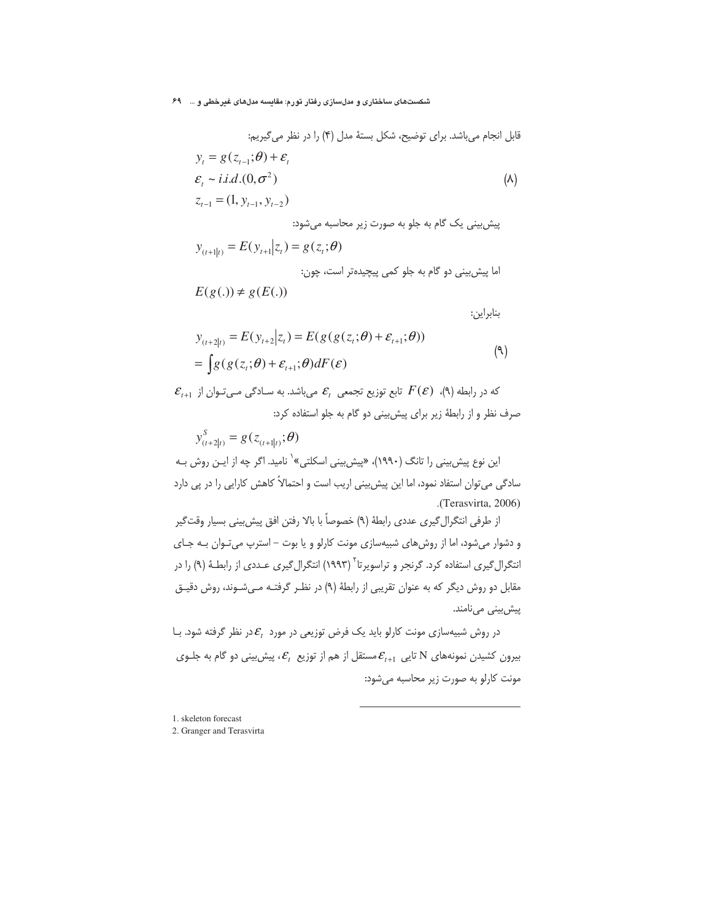قابل انجام میباشد. برای توفیح، شکل بستهٔ مدل (۴) را در نظر میگیریم:  
\n
$$
y_{t} = g(z_{t-1}; \theta) + \varepsilon_{t}
$$
\n
$$
\varepsilon_{t} \sim i.i.d.(0, \sigma^{2})
$$
\n(A)  
\n
$$
z_{t-1} = (1, y_{t-1}, y_{t-2})
$$
\n
$$
y_{(t+1|t)} = E(y_{t+1}|z_{t}) = g(z_{t}; \theta)
$$
\n\n
$$
y_{(t+1|t)} = E(y_{t+1}|z_{t}) = g(z_{t}; \theta)
$$

بنابراين:

$$
y_{(t+2|t)} = E(y_{t+2}|z_t) = E(g(g(z_t;\theta) + \varepsilon_{t+1};\theta))
$$
  
= 
$$
\int g(g(z_t;\theta) + \varepsilon_{t+1};\theta) dF(\varepsilon)
$$
 (9)

 $\mathcal{E}_{t+1}$  که در رابطه (۹)،  $F(\mathcal{E})$  تابع توزیع تجمعی  $\mathcal{E}_t$  میباشد. به ســادگی مــیتـوان از صرف نظر و از رابطهٔ زیر برای پیش بینی دو گام به جلو استفاده کرد:

 $y_{(t+2|t)}^S = g(z_{(t+1|t)}, \theta)$ 

 $E(g(.)) \neq g(E(.))$ 

این نوع پیش بینی را تانگ (۱۹۹۰)، «پیش بینی اسکلتی»` نامید. اگر چه از ایـن روش بـه سادگی می توان استفاد نمود، اما این پیش بینی اریب است و احتمالاً کاهش کارایی را در پی دارد .(Terasvirta, 2006)

از طرفي انتگرال گيري عددي رابطهٔ (٩) خصوصاً با بالا رفتن افق پيش بيني بسيار وقتگير و دشوار می شود، اما از روش های شبیه سازی مونت کارلو و یا بوت - استرپ می توان بـه جـای انتگرال *گ*یری استفاده کرد. گرنجر و تراسویرتا<sup>۲</sup> (۱۹۹۳) انتگرال گیری عـددی از رابطـهٔ (۹) را در مقابل دو روش دیگر که به عنوان تقریبی از رابطهٔ (۹) در نظر گرفتـه مـیشـوند، روش دقیـق پیشبینی مینامند.

در روش شبیهسازی مونت کارلو باید یک فرض توزیعی در مورد  $\mathcal{E}_t$ در نظر گرفته شود. بـا بیرون کشیدن نمونههای N تایی  $\mathcal{E}_{t+1}$ مستقل از هم از توزیع  $\mathcal{E}_{t}$ ، پیش بینی دو گام به جلـوی مونت كارلو به صورت زير محاسبه مى شود:

1. skeleton forecast

#### 2. Granger and Terasvirta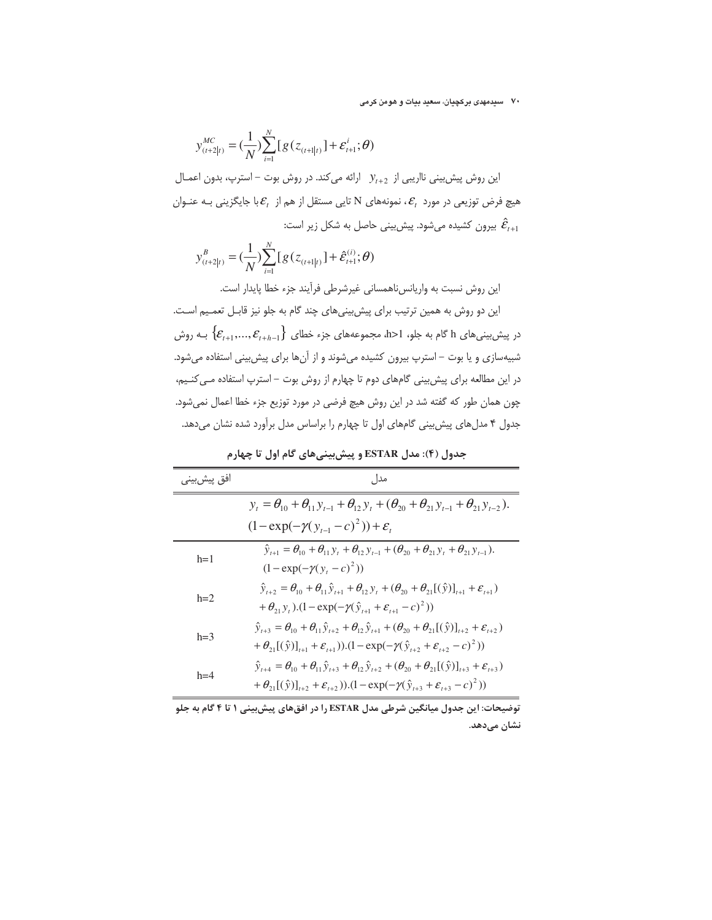$$
y_{_{(t+2|t)}}^{_{MC}} = (\frac{1}{N}) \sum_{i=1}^{N} [g(z_{_{(t+1|t)}}] + \varepsilon_{_{t+1}}^{i}; \theta)
$$

این روش پیش بینی نااریبی از  $y_{t+2}$  ارائه میکند. در روش بوت – استرپ، بدون اعمـال هیچ فرض توزیعی در مورد  $\mathcal{E}_t$ ، نمونههای N تایی مستقل از هم از  $\mathcal{E}_t$ با جایگزینی بـه عنـوان بیرون کشیده میشود. پیش بینی حاصل به شکل زیر است:  $\hat{\mathcal{E}}_{t+1}$ 

$$
y_{(t+2|t)}^{B} = (\frac{1}{N}) \sum_{i=1}^{N} [g(z_{(t+1|t)}] + \hat{\varepsilon}_{t+1}^{(i)}; \theta)
$$

این روش نسبت به واریانس ناهمسانی غیرشرطی فرآیند جزء خطا پایدار است.

این دو روش به همین ترتیب برای پیش بینیهای چند گام به جلو نیز قابـل تعمـیم اسـت. در پیش بینی های h گام به جلو، h>1، مجموعههای جزء خطای  $\{\mathcal{E}_{t+1},...,\mathcal{E}_{t+h-1}\}$  بـه روش شبیهسازی و یا بوت – استرپ بیرون کشیده میشوند و از آنها برای پیش بینی استفاده می شود. در این مطالعه برای پیش بینی گامهای دوم تا چهارم از روش بوت – استرپ استفاده مـی کنـیم، چون همان طور که گفته شد در این روش هیچ فرضی در مورد توزیع جزء خطا اعمال نمیشود. جدول ۴ مدلهای پیش بینی گامهای اول تا چهارم را براساس مدل برآورد شده نشان میدهد.

# جدول (۴): مدل ESTAR و پیش بینیهای گام اول تا چهارم

| افق پیشبین <i>ی</i> | مدا ,                                                                                                                                                     |
|---------------------|-----------------------------------------------------------------------------------------------------------------------------------------------------------|
|                     | $y_t = \theta_{10} + \theta_{11} y_{t-1} + \theta_{12} y_t + (\theta_{20} + \theta_{21} y_{t-1} + \theta_{21} y_{t-2}).$                                  |
|                     | $(1 - \exp(-\gamma(y_{t-1} - c)^2)) + \varepsilon$                                                                                                        |
| $h=1$               | $\hat{y}_{t+1} = \theta_{10} + \theta_{11} y_t + \theta_{12} y_{t-1} + (\theta_{20} + \theta_{21} y_t + \theta_{21} y_{t-1}).$                            |
|                     | $(1 - \exp(-\gamma(y_t - c)^2))$                                                                                                                          |
| $h=2$               | $\hat{y}_{t+2} = \theta_{10} + \theta_{11} \hat{y}_{t+1} + \theta_{12} y_t + (\theta_{20} + \theta_{21} [(\hat{y})]_{t+1} + \varepsilon_{t+1})$           |
|                     | + $\theta_{21}y_t$ ).(1 – exp(- $\gamma(\hat{y}_{t+1} + \varepsilon_{t+1} - c)^2$ ))                                                                      |
| $h=3$               | $\hat{y}_{t+3} = \theta_{10} + \theta_{11} \hat{y}_{t+2} + \theta_{12} \hat{y}_{t+1} + (\theta_{20} + \theta_{21} [(\hat{y})]_{t+2} + \varepsilon_{t+2})$ |
|                     | + $\theta_{21}[(\hat{y})]_{t+1} + \varepsilon_{t+1})$ ).(1 – exp(- $\gamma(\hat{y}_{t+2} + \varepsilon_{t+2} - c)^2$ ))                                   |
| $h=4$               | $\hat{y}_{t+4} = \theta_{10} + \theta_{11} \hat{y}_{t+3} + \theta_{12} \hat{y}_{t+2} + (\theta_{20} + \theta_{21} [(\hat{y})]_{t+3} + \varepsilon_{t+3})$ |
|                     | + $\theta_{21}[(\hat{y})]_{t+2} + \varepsilon_{t+2}$ )).(1 – exp(- $\gamma(\hat{y}_{t+3} + \varepsilon_{t+3} - c)^2$ ))                                   |

توضیحات: این جدول میانگین شرطی مدل ESTAR را در افقهای پیش بینی ۱ تا ۴ گام به جلو نشان میدهد.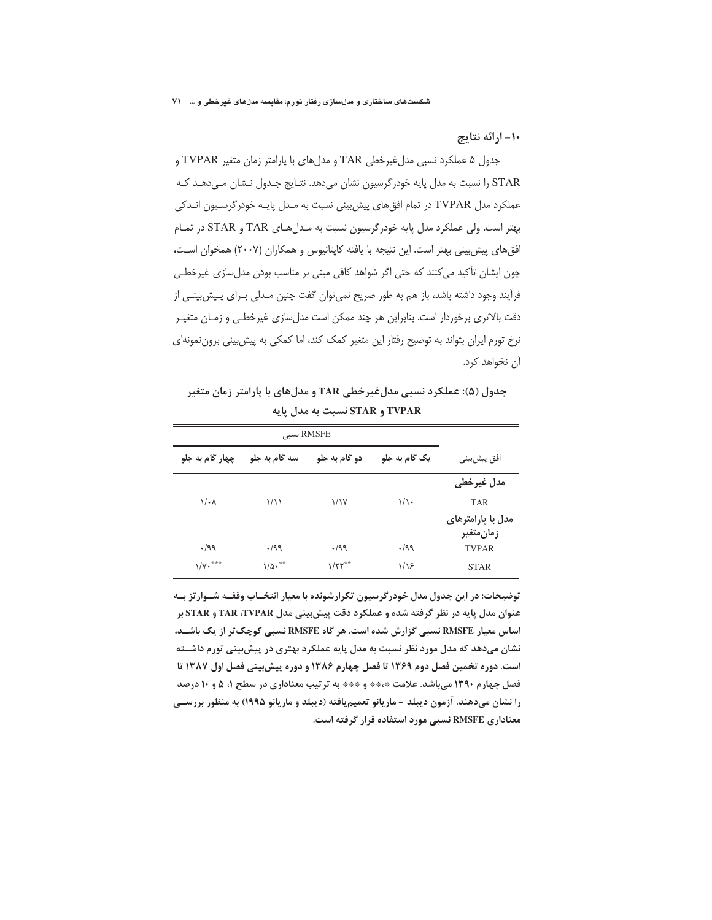شکستهای ساختاری و مدلسازی رفتار تورم: مقایسه مدلهای غیرخطی و … ۷۱

١٠- ارائه نتايج

جدول ۵ عملکرد نسبی مدل غیرخطی TAR و مدل های با پارامتر زمان متغیر TVPAR و STAR را نسبت به مدل پایه خودرگرسیون نشان میدهد. نتـایج جـدول نـشان مـیدهـد کـه عملکرد مدل TVPAR در تمام افق های پیش بینی نسبت به مـدل پایـه خودرگرسـیون انـدکی بهتر است. ولي عملكرد مدل پايه خودرگرسيون نسبت به مـدلهـاي TAR و STAR در تمـام افق های پیش بینی بهتر است. این نتیجه با یافته کاپتانیوس و همکاران (۲۰۰۷) همخوان است، چون ایشان تأکید میکنند که حتی اگر شواهد کافی مبنی بر مناسب بودن مدلسازی غیرخطی فرآیند وجود داشته باشد، باز هم به طور صریح نمیٍ توان گفت چنین مـدلی بـرای پـیش بینـی از دقت بالاتری برخوردار است. بنابراین هر چند ممکن است مدلسازی غیرخطی و زمـان متغیـر نرخ تورم ایران بتواند به توضیح رفتار این متغیر کمک کند، اما کمکی به پیش بینی برون نمونهای آن نخواهد کرد.

جدول (۵): عملکرد نسبی مدلغیرخطی TAR و مدلهای با پارامتر زمان متغیر TVPAR و STAR نسبت به مدل یایه

| RMSFE نسبى             |                     |                           |               |                                |
|------------------------|---------------------|---------------------------|---------------|--------------------------------|
| چهار گام به جلو        | سه گام به جلو       | دو گام به جلو             | یک گام به جلو | افق پیشبین <i>ی</i>            |
|                        |                     |                           |               | مدل غيرخطي                     |
| $\sqrt{\cdot \lambda}$ | $\frac{1}{2}$       | $\frac{1}{1}$             | $1/\sqrt{2}$  | <b>TAR</b>                     |
|                        |                     |                           |               | مدل با پارامترهای<br>زمانمتغير |
| .199                   | .199                | .199                      | .199          | <b>TVPAR</b>                   |
| $\sqrt{v}$ . ***       | $1/\Delta \cdot$ ** | $1/\Upsilon\Upsilon^{**}$ | 1/19          | <b>STAR</b>                    |

توضیحات: در این جدول مدل خودرگرسیون تکرارشونده با معیار انتخــاب وقفــه شــوار تز بــه عنوان مدل پایه در نظر گرفته شده و عملکرد دقت پیشبینی مدل TAR ،TVPAR و STAR بر اساس معیار RMSFE نسبی گزارش شده است. هر گاه RMSFE نسبی کوچک تر از یک باشـد، نشان میدهد که مدل مورد نظر نسبت به مدل پایه عملکرد بهتری در پیش بینی تورم داشــته است. دوره تخمین فصل دوم ۱۳۶۹ تا فصل چهارم ۱۳۸۶ و دوره پیش بینی فصل اول ۱۳۸۷ تا فصل چهارم ۱۳۹۰ میباشد. علامت \*\*\*\* و \*\*\* به ترتیب معناداری در سطح ۱، ۵ و ۱۰ درصد را نشان میدهند. آزمون دیبلد – ماریانو تعمیمیافته (دیبلد و ماریانو ۱۹۹۵) به منظور بررســی معناداری RMSFE نسبی مورد استفاده قرار گرفته است.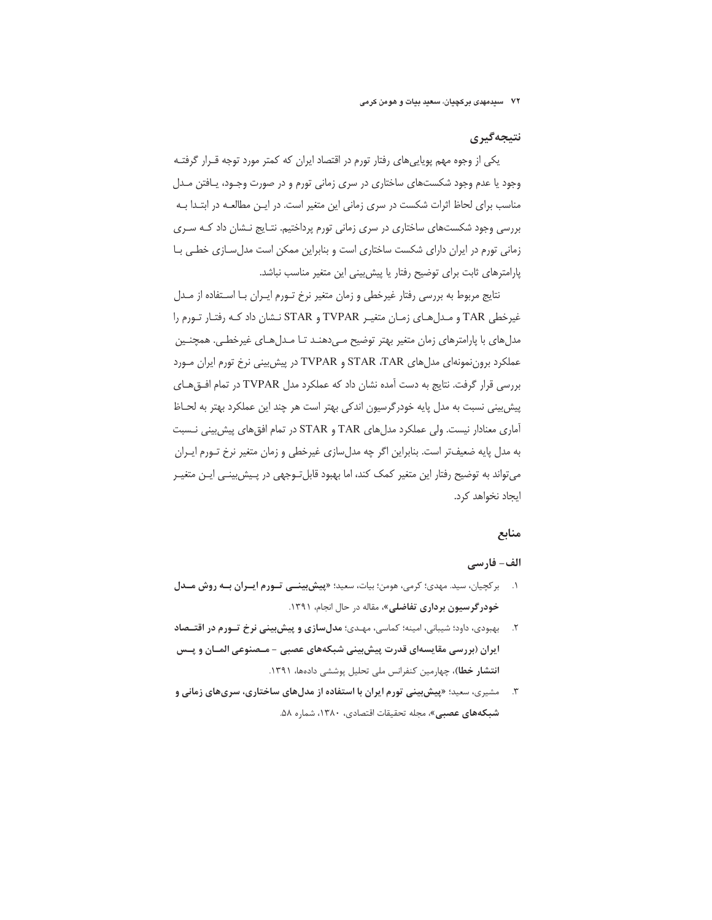## نتىجەگىرى

یکی از وجوه مهم پویاییهای رفتار تورم در اقتصاد ایران که کمتر مورد توجه قـرار گرفتـه وجود یا عدم وجود شکستهای ساختاری در سری زمانی تورم و در صورت وجـود، پـافتن مـدل مناسب برای لحاظ اثرات شکست در سری زمانی این متغیر است. در ایـن مطالعـه در ابتـدا بـه بررسی وجود شکستهای ساختاری در سری زمانی تورم پرداختیم. نتـایج نـشان داد کـه سـری زمانی تورم در ایران دارای شکست ساختاری است و بنابراین ممکن است مدل سـازی خطـی بـا یارامترهای ثابت برای توضیح رفتار یا پیش بینی این متغیر مناسب نباشد.

نتايج مربوط به بررسي رفتار غيرخطي و زمان متغير نرخ تـورم ايـران بـا اسـتفاده از مـدل غیرخطی TAR و مدل های زمان متغیر TVPAR و STAR نشان داد کـه رفتـار تـورم را مدلهای با پارامترهای زمان متغیر بهتر توضیح مے دهنـد تـا مـدلهـای غیرخطـی. همچنـین عملکرد بروننمونهای مدل های STAR ،TAR و TVPAR در پیش بینی نرخ تورم ایران مورد بررسی قرار گرفت. نتایج به دست آمده نشان داد که عملکرد مدل TVPAR در تمام افتق های پیش بینی نسبت به مدل پایه خودرگرسیون اندکی بهتر است هر چند این عملکرد بهتر به لحـاظ آماری معنادار نیست. ولی عملکرد مدل های TAR و STAR در تمام افق های پیش بینی نـسبت به مدل پایه ضعیفتر است. بنابراین اگر چه مدلسازی غیرخطی و زمان متغیر نرخ تـورم ایـران می تواند به توضیح رفتار این متغیر کمک کند، اما بهبود قابل تـوجهی در پـیش بینـی ایـن متغیـر ایجاد نخواهد کرد.

## منابع

## الف- فارسے

- ١. بركچيان، سيد. مهدى؛ كرمى، هومن؛ بيات، سعيد؛ «پيش بينسى تورم ايسران به روش مسدل **خودرگرسیون برداری تفاضلی»**، مقاله در حال انجام، ۱۳۹۱.
- ۲. د بهبودی، داود؛ شیبانی، امینه؛ کماسی، مهـدی؛ **مدلِ سازی و پیش بینی نرخ تـورم در اقتـصاد** ایران (بررسی مقایسهای قدرت پیش بینی شبکههای عصبی - مـصنوعی المـان و پــس انتشار خطا)، چهارمین کنفرانس ملی تحلیل پوششی دادهها، ۱۳۹۱.
- ۳. مشیری، سعید؛ «پ**یشبینی تورم ایران با استفاده از مدل های ساختاری، سری های زمانی و شبکههای عصبی»**، مجله تحقیقات اقتصادی، ۱۳۸۰، شماره ۵۸.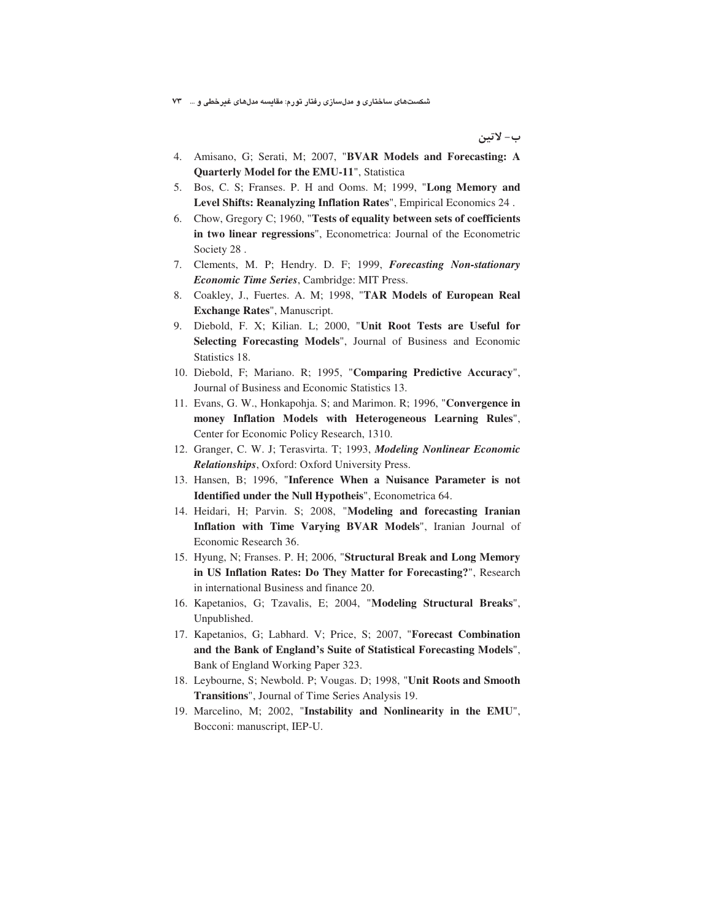شکستهای ساختاری و مدلسازی رفتار تورم: مقایسه مدلهای غیرخطی و … ۷۳

ب- لاتين

- 4. Amisano, G; Serati, M; 2007, "**BVAR Models and Forecasting: A Quarterly Model for the EMU-11**", Statistica
- 5. Bos, C. S; Franses. P. H and Ooms. M; 1999, "**Long Memory and Level Shifts: Reanalyzing Inflation Rates**", Empirical Economics 24 .
- 6. Chow, Gregory C; 1960, "**Tests of equality between sets of coefficients in two linear regressions**", Econometrica: Journal of the Econometric Society 28 .
- 7. Clements, M. P; Hendry. D. F; 1999, *Forecasting Non-stationary Economic Time Series*, Cambridge: MIT Press.
- 8. Coakley, J., Fuertes. A. M; 1998, "**TAR Models of European Real Exchange Rates**", Manuscript.
- 9. Diebold, F. X; Kilian. L; 2000, "**Unit Root Tests are Useful for Selecting Forecasting Models**", Journal of Business and Economic Statistics 18.
- 10. Diebold, F; Mariano. R; 1995, "**Comparing Predictive Accuracy**", Journal of Business and Economic Statistics 13.
- 11. Evans, G. W., Honkapohja. S; and Marimon. R; 1996, "**Convergence in money Inflation Models with Heterogeneous Learning Rules**", Center for Economic Policy Research, 1310.
- 12. Granger, C. W. J; Terasvirta. T; 1993, *Modeling Nonlinear Economic Relationships*, Oxford: Oxford University Press.
- 13. Hansen, B; 1996, "**Inference When a Nuisance Parameter is not Identified under the Null Hypotheis**", Econometrica 64.
- 14. Heidari, H; Parvin. S; 2008, "**Modeling and forecasting Iranian Inflation with Time Varying BVAR Models**", Iranian Journal of Economic Research 36.
- 15. Hyung, N; Franses. P. H; 2006, "**Structural Break and Long Memory in US Inflation Rates: Do They Matter for Forecasting?**", Research in international Business and finance 20.
- 16. Kapetanios, G; Tzavalis, E; 2004, "**Modeling Structural Breaks**", Unpublished.
- 17. Kapetanios, G; Labhard. V; Price, S; 2007, "**Forecast Combination and the Bank of England's Suite of Statistical Forecasting Models**", Bank of England Working Paper 323.
- 18. Leybourne, S; Newbold. P; Vougas. D; 1998, "**Unit Roots and Smooth Transitions**", Journal of Time Series Analysis 19.
- 19. Marcelino, M; 2002, "**Instability and Nonlinearity in the EMU**", Bocconi: manuscript, IEP-U.